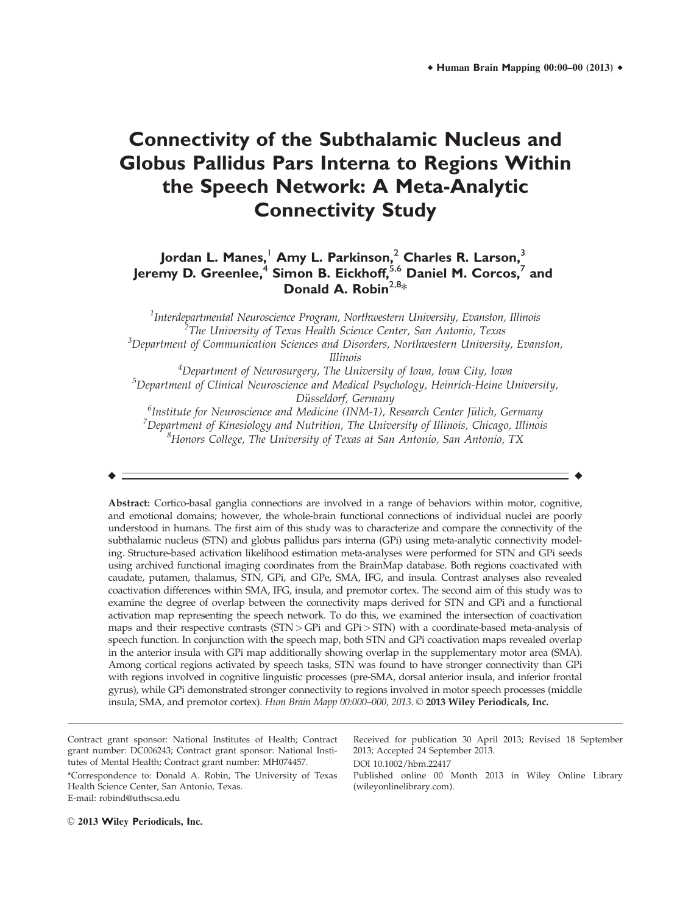# **Connectivity of the Subthalamic Nucleus and Globus Pallidus Pars Interna to Regions Within the Speech Network: A Meta-Analytic Connectivity Study**

# **Jordan L. Manes,**<sup>1</sup> **Amy L. Parkinson,**<sup>2</sup> **Charles R. Larson,**<sup>3</sup> **Jeremy D. Greenlee,**<sup>4</sup> **Simon B. Eickhoff,**5,6 **Daniel M. Corcos,**<sup>7</sup> **and** Donald A. Robin<sup>2,8\*</sup>

<sup>1</sup>Interdepartmental Neuroscience Program, Northwestern University, Evanston, Illinois <sup>2</sup>The University of Texas Health Science Center, San Antonio, Texas  $3$ Department of Communication Sciences and Disorders, Northwestern University, Evanston, Illinois 4 Department of Neurosurgery, The University of Iowa, Iowa City, Iowa

<sup>5</sup>Department of Clinical Neuroscience and Medical Psychology, Heinrich-Heine University, Düsseldorf, Germany<br><sup>6</sup> 6 *Fustitute for Neuroscience and Medicine* (INM-1)

<sup>6</sup>Institute for Neuroscience and Medicine (INM-1), Research Center Jülich, Germany<br><sup>7</sup>Department of Kinesiplogy and Nutrition. The University of Illinois, Chicago, Illinoi  $<sup>7</sup>$ Department of Kinesiology and Nutrition, The University of Illinois, Chicago, Illinois</sup>  ${}^8$ Honors College, The University of Texas at San Antonio, San Antonio, TX

r r

Abstract: Cortico-basal ganglia connections are involved in a range of behaviors within motor, cognitive, and emotional domains; however, the whole-brain functional connections of individual nuclei are poorly understood in humans. The first aim of this study was to characterize and compare the connectivity of the subthalamic nucleus (STN) and globus pallidus pars interna (GPi) using meta-analytic connectivity modeling. Structure-based activation likelihood estimation meta-analyses were performed for STN and GPi seeds using archived functional imaging coordinates from the BrainMap database. Both regions coactivated with caudate, putamen, thalamus, STN, GPi, and GPe, SMA, IFG, and insula. Contrast analyses also revealed coactivation differences within SMA, IFG, insula, and premotor cortex. The second aim of this study was to examine the degree of overlap between the connectivity maps derived for STN and GPi and a functional activation map representing the speech network. To do this, we examined the intersection of coactivation maps and their respective contrasts (STN > GPi and GPi > STN) with a coordinate-based meta-analysis of speech function. In conjunction with the speech map, both STN and GPi coactivation maps revealed overlap in the anterior insula with GPi map additionally showing overlap in the supplementary motor area (SMA). Among cortical regions activated by speech tasks, STN was found to have stronger connectivity than GPi with regions involved in cognitive linguistic processes (pre-SMA, dorsal anterior insula, and inferior frontal gyrus), while GPi demonstrated stronger connectivity to regions involved in motor speech processes (middle insula, SMA, and premotor cortex). Hum Brain Mapp 00:000-000, 2013. © 2013 Wiley Periodicals, Inc.

Contract grant sponsor: National Institutes of Health; Contract grant number: DC006243; Contract grant sponsor: National Institutes of Mental Health; Contract grant number: MH074457. \*Correspondence to: Donald A. Robin, The University of Texas Health Science Center, San Antonio, Texas.

E-mail: robind@uthscsa.edu

Received for publication 30 April 2013; Revised 18 September 2013; Accepted 24 September 2013.

DOI 10.1002/hbm.22417 Published online 00 Month 2013 in Wiley Online Library (wileyonlinelibrary.com).

 $\odot$  2013 Wiley Periodicals, Inc.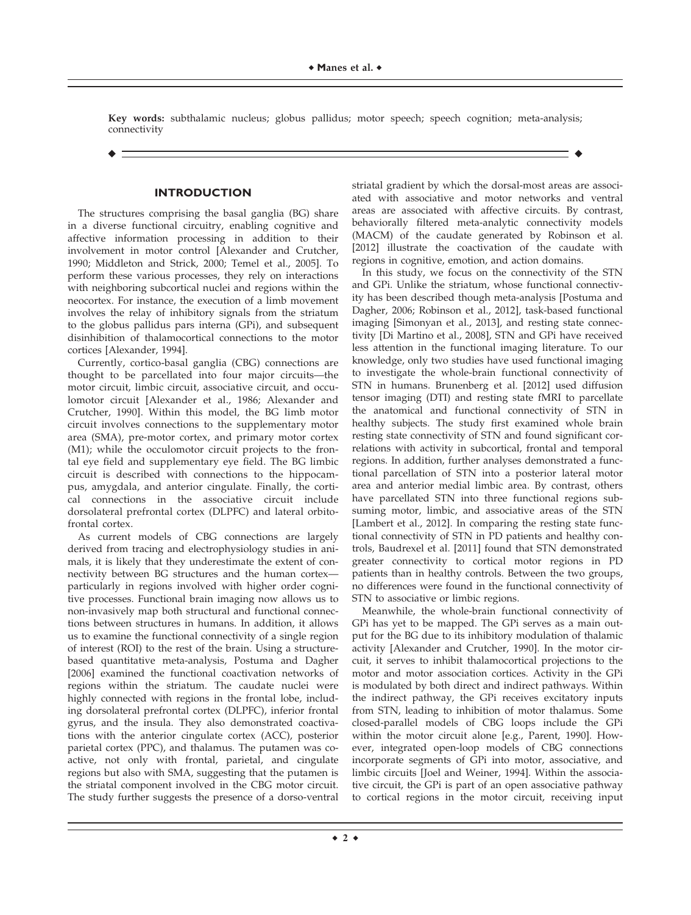Key words: subthalamic nucleus; globus pallidus; motor speech; speech cognition; meta-analysis; connectivity

r r

# **INTRODUCTION**

The structures comprising the basal ganglia (BG) share in a diverse functional circuitry, enabling cognitive and affective information processing in addition to their involvement in motor control [Alexander and Crutcher, 1990; Middleton and Strick, 2000; Temel et al., 2005]. To perform these various processes, they rely on interactions with neighboring subcortical nuclei and regions within the neocortex. For instance, the execution of a limb movement involves the relay of inhibitory signals from the striatum to the globus pallidus pars interna (GPi), and subsequent disinhibition of thalamocortical connections to the motor cortices [Alexander, 1994].

Currently, cortico-basal ganglia (CBG) connections are thought to be parcellated into four major circuits—the motor circuit, limbic circuit, associative circuit, and occulomotor circuit [Alexander et al., 1986; Alexander and Crutcher, 1990]. Within this model, the BG limb motor circuit involves connections to the supplementary motor area (SMA), pre-motor cortex, and primary motor cortex (M1); while the occulomotor circuit projects to the frontal eye field and supplementary eye field. The BG limbic circuit is described with connections to the hippocampus, amygdala, and anterior cingulate. Finally, the cortical connections in the associative circuit include dorsolateral prefrontal cortex (DLPFC) and lateral orbitofrontal cortex.

As current models of CBG connections are largely derived from tracing and electrophysiology studies in animals, it is likely that they underestimate the extent of connectivity between BG structures and the human cortex particularly in regions involved with higher order cognitive processes. Functional brain imaging now allows us to non-invasively map both structural and functional connections between structures in humans. In addition, it allows us to examine the functional connectivity of a single region of interest (ROI) to the rest of the brain. Using a structurebased quantitative meta-analysis, Postuma and Dagher [2006] examined the functional coactivation networks of regions within the striatum. The caudate nuclei were highly connected with regions in the frontal lobe, including dorsolateral prefrontal cortex (DLPFC), inferior frontal gyrus, and the insula. They also demonstrated coactivations with the anterior cingulate cortex (ACC), posterior parietal cortex (PPC), and thalamus. The putamen was coactive, not only with frontal, parietal, and cingulate regions but also with SMA, suggesting that the putamen is the striatal component involved in the CBG motor circuit. The study further suggests the presence of a dorso-ventral

striatal gradient by which the dorsal-most areas are associated with associative and motor networks and ventral areas are associated with affective circuits. By contrast, behaviorally filtered meta-analytic connectivity models (MACM) of the caudate generated by Robinson et al. [2012] illustrate the coactivation of the caudate with regions in cognitive, emotion, and action domains.

In this study, we focus on the connectivity of the STN and GPi. Unlike the striatum, whose functional connectivity has been described though meta-analysis [Postuma and Dagher, 2006; Robinson et al., 2012], task-based functional imaging [Simonyan et al., 2013], and resting state connectivity [Di Martino et al., 2008], STN and GPi have received less attention in the functional imaging literature. To our knowledge, only two studies have used functional imaging to investigate the whole-brain functional connectivity of STN in humans. Brunenberg et al. [2012] used diffusion tensor imaging (DTI) and resting state fMRI to parcellate the anatomical and functional connectivity of STN in healthy subjects. The study first examined whole brain resting state connectivity of STN and found significant correlations with activity in subcortical, frontal and temporal regions. In addition, further analyses demonstrated a functional parcellation of STN into a posterior lateral motor area and anterior medial limbic area. By contrast, others have parcellated STN into three functional regions subsuming motor, limbic, and associative areas of the STN [Lambert et al., 2012]. In comparing the resting state functional connectivity of STN in PD patients and healthy controls, Baudrexel et al. [2011] found that STN demonstrated greater connectivity to cortical motor regions in PD patients than in healthy controls. Between the two groups, no differences were found in the functional connectivity of STN to associative or limbic regions.

Meanwhile, the whole-brain functional connectivity of GPi has yet to be mapped. The GPi serves as a main output for the BG due to its inhibitory modulation of thalamic activity [Alexander and Crutcher, 1990]. In the motor circuit, it serves to inhibit thalamocortical projections to the motor and motor association cortices. Activity in the GPi is modulated by both direct and indirect pathways. Within the indirect pathway, the GPi receives excitatory inputs from STN, leading to inhibition of motor thalamus. Some closed-parallel models of CBG loops include the GPi within the motor circuit alone [e.g., Parent, 1990]. However, integrated open-loop models of CBG connections incorporate segments of GPi into motor, associative, and limbic circuits [Joel and Weiner, 1994]. Within the associative circuit, the GPi is part of an open associative pathway to cortical regions in the motor circuit, receiving input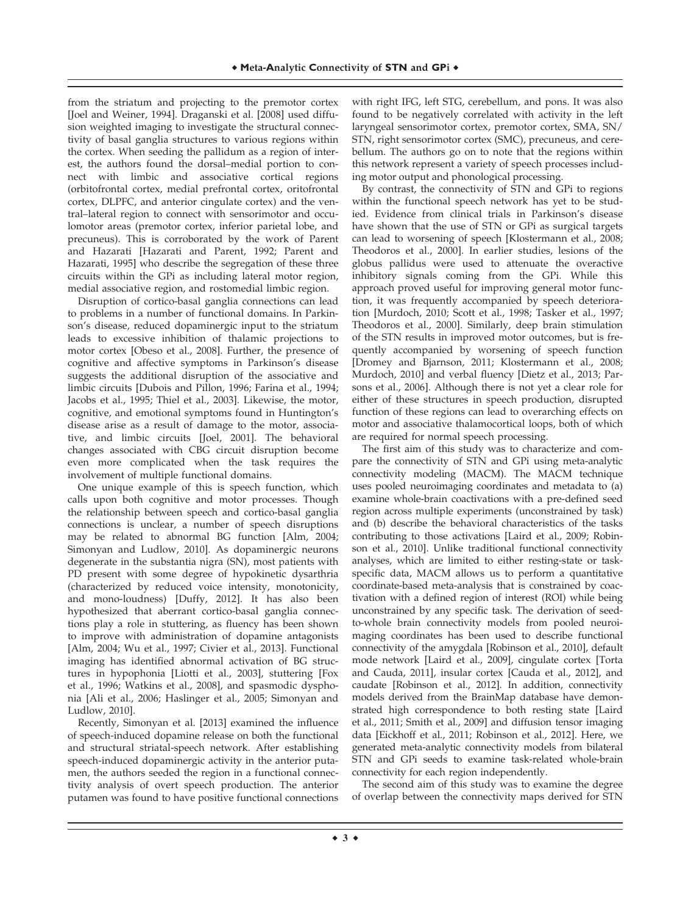from the striatum and projecting to the premotor cortex [Joel and Weiner, 1994]. Draganski et al. [2008] used diffusion weighted imaging to investigate the structural connectivity of basal ganglia structures to various regions within the cortex. When seeding the pallidum as a region of interest, the authors found the dorsal–medial portion to connect with limbic and associative cortical regions (orbitofrontal cortex, medial prefrontal cortex, oritofrontal cortex, DLPFC, and anterior cingulate cortex) and the ventral–lateral region to connect with sensorimotor and occulomotor areas (premotor cortex, inferior parietal lobe, and precuneus). This is corroborated by the work of Parent and Hazarati [Hazarati and Parent, 1992; Parent and Hazarati, 1995] who describe the segregation of these three circuits within the GPi as including lateral motor region, medial associative region, and rostomedial limbic region.

Disruption of cortico-basal ganglia connections can lead to problems in a number of functional domains. In Parkinson's disease, reduced dopaminergic input to the striatum leads to excessive inhibition of thalamic projections to motor cortex [Obeso et al., 2008]. Further, the presence of cognitive and affective symptoms in Parkinson's disease suggests the additional disruption of the associative and limbic circuits [Dubois and Pillon, 1996; Farina et al., 1994; Jacobs et al., 1995; Thiel et al., 2003]. Likewise, the motor, cognitive, and emotional symptoms found in Huntington's disease arise as a result of damage to the motor, associative, and limbic circuits [Joel, 2001]. The behavioral changes associated with CBG circuit disruption become even more complicated when the task requires the involvement of multiple functional domains.

One unique example of this is speech function, which calls upon both cognitive and motor processes. Though the relationship between speech and cortico-basal ganglia connections is unclear, a number of speech disruptions may be related to abnormal BG function [Alm, 2004; Simonyan and Ludlow, 2010]. As dopaminergic neurons degenerate in the substantia nigra (SN), most patients with PD present with some degree of hypokinetic dysarthria (characterized by reduced voice intensity, monotonicity, and mono-loudness) [Duffy, 2012]. It has also been hypothesized that aberrant cortico-basal ganglia connections play a role in stuttering, as fluency has been shown to improve with administration of dopamine antagonists [Alm, 2004; Wu et al., 1997; Civier et al., 2013]. Functional imaging has identified abnormal activation of BG structures in hypophonia [Liotti et al., 2003], stuttering [Fox et al., 1996; Watkins et al., 2008], and spasmodic dysphonia [Ali et al., 2006; Haslinger et al., 2005; Simonyan and Ludlow, 2010].

Recently, Simonyan et al. [2013] examined the influence of speech-induced dopamine release on both the functional and structural striatal-speech network. After establishing speech-induced dopaminergic activity in the anterior putamen, the authors seeded the region in a functional connectivity analysis of overt speech production. The anterior putamen was found to have positive functional connections

with right IFG, left STG, cerebellum, and pons. It was also found to be negatively correlated with activity in the left laryngeal sensorimotor cortex, premotor cortex, SMA, SN/ STN, right sensorimotor cortex (SMC), precuneus, and cerebellum. The authors go on to note that the regions within this network represent a variety of speech processes including motor output and phonological processing.

By contrast, the connectivity of STN and GPi to regions within the functional speech network has yet to be studied. Evidence from clinical trials in Parkinson's disease have shown that the use of STN or GPi as surgical targets can lead to worsening of speech [Klostermann et al., 2008; Theodoros et al., 2000]. In earlier studies, lesions of the globus pallidus were used to attenuate the overactive inhibitory signals coming from the GPi. While this approach proved useful for improving general motor function, it was frequently accompanied by speech deterioration [Murdoch, 2010; Scott et al., 1998; Tasker et al., 1997; Theodoros et al., 2000]. Similarly, deep brain stimulation of the STN results in improved motor outcomes, but is frequently accompanied by worsening of speech function [Dromey and Bjarnson, 2011; Klostermann et al., 2008; Murdoch, 2010] and verbal fluency [Dietz et al., 2013; Parsons et al., 2006]. Although there is not yet a clear role for either of these structures in speech production, disrupted function of these regions can lead to overarching effects on motor and associative thalamocortical loops, both of which are required for normal speech processing.

The first aim of this study was to characterize and compare the connectivity of STN and GPi using meta-analytic connectivity modeling (MACM). The MACM technique uses pooled neuroimaging coordinates and metadata to (a) examine whole-brain coactivations with a pre-defined seed region across multiple experiments (unconstrained by task) and (b) describe the behavioral characteristics of the tasks contributing to those activations [Laird et al., 2009; Robinson et al., 2010]. Unlike traditional functional connectivity analyses, which are limited to either resting-state or taskspecific data, MACM allows us to perform a quantitative coordinate-based meta-analysis that is constrained by coactivation with a defined region of interest (ROI) while being unconstrained by any specific task. The derivation of seedto-whole brain connectivity models from pooled neuroimaging coordinates has been used to describe functional connectivity of the amygdala [Robinson et al., 2010], default mode network [Laird et al., 2009], cingulate cortex [Torta and Cauda, 2011], insular cortex [Cauda et al., 2012], and caudate [Robinson et al., 2012]. In addition, connectivity models derived from the BrainMap database have demonstrated high correspondence to both resting state [Laird et al., 2011; Smith et al., 2009] and diffusion tensor imaging data [Eickhoff et al., 2011; Robinson et al., 2012]. Here, we generated meta-analytic connectivity models from bilateral STN and GPi seeds to examine task-related whole-brain connectivity for each region independently.

The second aim of this study was to examine the degree of overlap between the connectivity maps derived for STN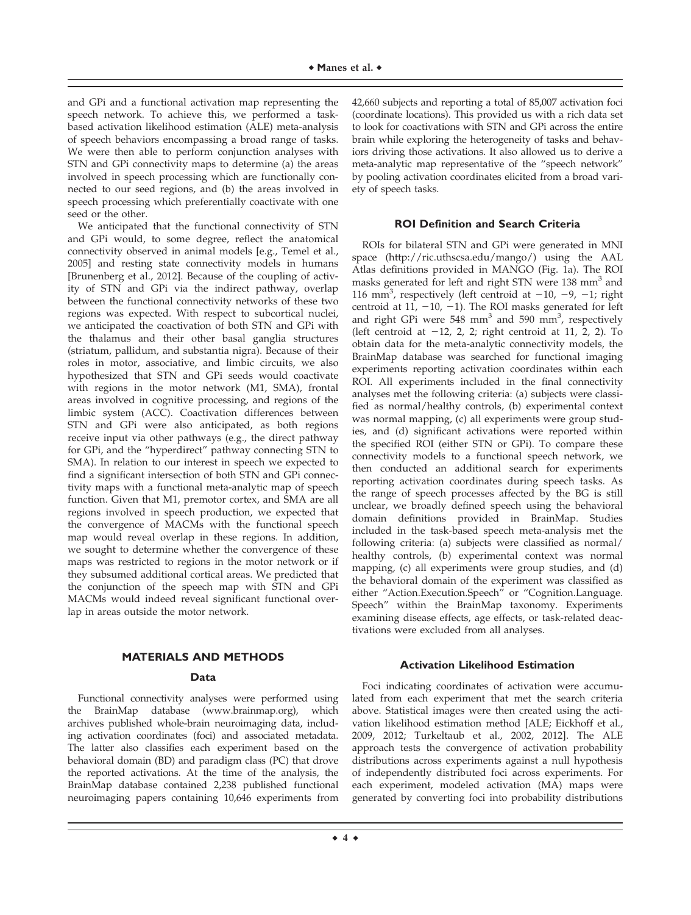and GPi and a functional activation map representing the speech network. To achieve this, we performed a taskbased activation likelihood estimation (ALE) meta-analysis of speech behaviors encompassing a broad range of tasks. We were then able to perform conjunction analyses with STN and GPi connectivity maps to determine (a) the areas involved in speech processing which are functionally connected to our seed regions, and (b) the areas involved in speech processing which preferentially coactivate with one seed or the other.

We anticipated that the functional connectivity of STN and GPi would, to some degree, reflect the anatomical connectivity observed in animal models [e.g., Temel et al., 2005] and resting state connectivity models in humans [Brunenberg et al., 2012]. Because of the coupling of activity of STN and GPi via the indirect pathway, overlap between the functional connectivity networks of these two regions was expected. With respect to subcortical nuclei, we anticipated the coactivation of both STN and GPi with the thalamus and their other basal ganglia structures (striatum, pallidum, and substantia nigra). Because of their roles in motor, associative, and limbic circuits, we also hypothesized that STN and GPi seeds would coactivate with regions in the motor network (M1, SMA), frontal areas involved in cognitive processing, and regions of the limbic system (ACC). Coactivation differences between STN and GPi were also anticipated, as both regions receive input via other pathways (e.g., the direct pathway for GPi, and the "hyperdirect" pathway connecting STN to SMA). In relation to our interest in speech we expected to find a significant intersection of both STN and GPi connectivity maps with a functional meta-analytic map of speech function. Given that M1, premotor cortex, and SMA are all regions involved in speech production, we expected that the convergence of MACMs with the functional speech map would reveal overlap in these regions. In addition, we sought to determine whether the convergence of these maps was restricted to regions in the motor network or if they subsumed additional cortical areas. We predicted that the conjunction of the speech map with STN and GPi MACMs would indeed reveal significant functional overlap in areas outside the motor network.

# **MATERIALS AND METHODS**

#### **Data**

Functional connectivity analyses were performed using the BrainMap database [\(www.brainmap.org](www.brainmap.org)), which archives published whole-brain neuroimaging data, including activation coordinates (foci) and associated metadata. The latter also classifies each experiment based on the behavioral domain (BD) and paradigm class (PC) that drove the reported activations. At the time of the analysis, the BrainMap database contained 2,238 published functional neuroimaging papers containing 10,646 experiments from

42,660 subjects and reporting a total of 85,007 activation foci (coordinate locations). This provided us with a rich data set to look for coactivations with STN and GPi across the entire brain while exploring the heterogeneity of tasks and behaviors driving those activations. It also allowed us to derive a meta-analytic map representative of the "speech network" by pooling activation coordinates elicited from a broad variety of speech tasks.

#### **ROI Definition and Search Criteria**

ROIs for bilateral STN and GPi were generated in MNI space (<http://ric.uthscsa.edu/mango/>) using the AAL Atlas definitions provided in MANGO (Fig. 1a). The ROI masks generated for left and right STN were 138 mm<sup>3</sup> and 116 mm<sup>3</sup>, respectively (left centroid at  $-10$ ,  $-9$ ,  $-1$ ; right centroid at 11,  $-10$ ,  $-1$ ). The ROI masks generated for left and right GPi were  $548$  mm<sup>3</sup> and  $590$  mm<sup>3</sup>, respectively (left centroid at  $-12$ , 2, 2; right centroid at 11, 2, 2). To obtain data for the meta-analytic connectivity models, the BrainMap database was searched for functional imaging experiments reporting activation coordinates within each ROI. All experiments included in the final connectivity analyses met the following criteria: (a) subjects were classified as normal/healthy controls, (b) experimental context was normal mapping, (c) all experiments were group studies, and (d) significant activations were reported within the specified ROI (either STN or GPi). To compare these connectivity models to a functional speech network, we then conducted an additional search for experiments reporting activation coordinates during speech tasks. As the range of speech processes affected by the BG is still unclear, we broadly defined speech using the behavioral domain definitions provided in BrainMap. Studies included in the task-based speech meta-analysis met the following criteria: (a) subjects were classified as normal/ healthy controls, (b) experimental context was normal mapping, (c) all experiments were group studies, and (d) the behavioral domain of the experiment was classified as either "Action.Execution.Speech" or "Cognition.Language. Speech" within the BrainMap taxonomy. Experiments examining disease effects, age effects, or task-related deactivations were excluded from all analyses.

#### **Activation Likelihood Estimation**

Foci indicating coordinates of activation were accumulated from each experiment that met the search criteria above. Statistical images were then created using the activation likelihood estimation method [ALE; Eickhoff et al., 2009, 2012; Turkeltaub et al., 2002, 2012]. The ALE approach tests the convergence of activation probability distributions across experiments against a null hypothesis of independently distributed foci across experiments. For each experiment, modeled activation (MA) maps were generated by converting foci into probability distributions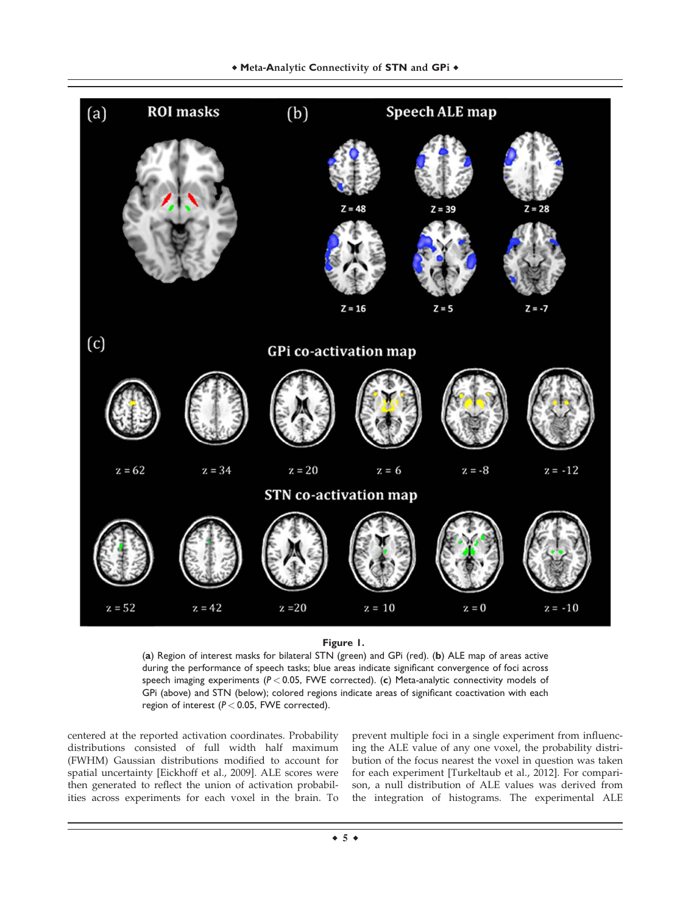

# **Figure 1.**

(**a**) Region of interest masks for bilateral STN (green) and GPi (red). (**b**) ALE map of areas active during the performance of speech tasks; blue areas indicate significant convergence of foci across speech imaging experiments (*P* < 0.05, FWE corrected). (**c**) Meta-analytic connectivity models of GPi (above) and STN (below); colored regions indicate areas of significant coactivation with each region of interest (*P* < 0.05, FWE corrected).

centered at the reported activation coordinates. Probability distributions consisted of full width half maximum (FWHM) Gaussian distributions modified to account for spatial uncertainty [Eickhoff et al., 2009]. ALE scores were then generated to reflect the union of activation probabilities across experiments for each voxel in the brain. To prevent multiple foci in a single experiment from influencing the ALE value of any one voxel, the probability distribution of the focus nearest the voxel in question was taken for each experiment [Turkeltaub et al., 2012]. For comparison, a null distribution of ALE values was derived from the integration of histograms. The experimental ALE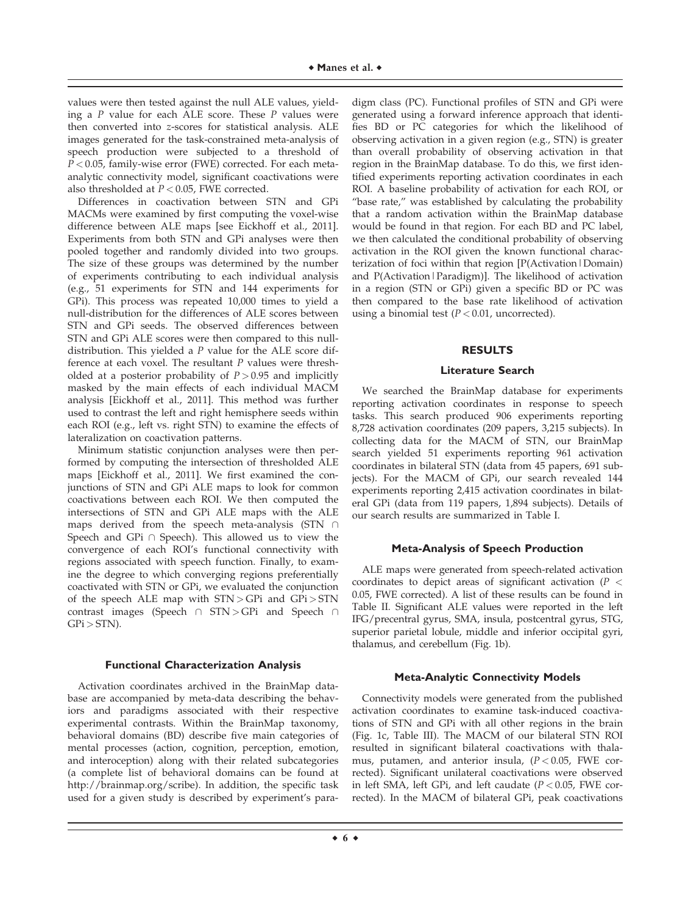values were then tested against the null ALE values, yielding a  $P$  value for each ALE score. These  $P$  values were then converted into z-scores for statistical analysis. ALE images generated for the task-constrained meta-analysis of speech production were subjected to a threshold of  $P < 0.05$ , family-wise error (FWE) corrected. For each metaanalytic connectivity model, significant coactivations were also thresholded at  $P < 0.05$ , FWE corrected.

Differences in coactivation between STN and GPi MACMs were examined by first computing the voxel-wise difference between ALE maps [see Eickhoff et al., 2011]. Experiments from both STN and GPi analyses were then pooled together and randomly divided into two groups. The size of these groups was determined by the number of experiments contributing to each individual analysis (e.g., 51 experiments for STN and 144 experiments for GPi). This process was repeated 10,000 times to yield a null-distribution for the differences of ALE scores between STN and GPi seeds. The observed differences between STN and GPi ALE scores were then compared to this nulldistribution. This yielded a P value for the ALE score difference at each voxel. The resultant  $P$  values were thresholded at a posterior probability of  $P > 0.95$  and implicitly masked by the main effects of each individual MACM analysis [Eickhoff et al., 2011]. This method was further used to contrast the left and right hemisphere seeds within each ROI (e.g., left vs. right STN) to examine the effects of lateralization on coactivation patterns.

Minimum statistic conjunction analyses were then performed by computing the intersection of thresholded ALE maps [Eickhoff et al., 2011]. We first examined the conjunctions of STN and GPi ALE maps to look for common coactivations between each ROI. We then computed the intersections of STN and GPi ALE maps with the ALE maps derived from the speech meta-analysis (STN  $\cap$ Speech and GPi  $\cap$  Speech). This allowed us to view the convergence of each ROI's functional connectivity with regions associated with speech function. Finally, to examine the degree to which converging regions preferentially coactivated with STN or GPi, we evaluated the conjunction of the speech ALE map with  $STN > GPi$  and  $GPi > STN$ contrast images (Speech  $\cap$  STN > GPi and Speech  $\cap$  $GPi > STN$ ).

#### **Functional Characterization Analysis**

Activation coordinates archived in the BrainMap database are accompanied by meta-data describing the behaviors and paradigms associated with their respective experimental contrasts. Within the BrainMap taxonomy, behavioral domains (BD) describe five main categories of mental processes (action, cognition, perception, emotion, and interoception) along with their related subcategories (a complete list of behavioral domains can be found at [http://brainmap.org/scribe\)](http://brainmap.org/scribe). In addition, the specific task used for a given study is described by experiment's para-

digm class (PC). Functional profiles of STN and GPi were generated using a forward inference approach that identifies BD or PC categories for which the likelihood of observing activation in a given region (e.g., STN) is greater than overall probability of observing activation in that region in the BrainMap database. To do this, we first identified experiments reporting activation coordinates in each ROI. A baseline probability of activation for each ROI, or "base rate," was established by calculating the probability that a random activation within the BrainMap database would be found in that region. For each BD and PC label, we then calculated the conditional probability of observing activation in the ROI given the known functional characterization of foci within that region [P(Activation | Domain) and P(Activation | Paradigm)]. The likelihood of activation in a region (STN or GPi) given a specific BD or PC was then compared to the base rate likelihood of activation using a binomial test  $(P < 0.01$ , uncorrected).

#### **RESULTS**

#### **Literature Search**

We searched the BrainMap database for experiments reporting activation coordinates in response to speech tasks. This search produced 906 experiments reporting 8,728 activation coordinates (209 papers, 3,215 subjects). In collecting data for the MACM of STN, our BrainMap search yielded 51 experiments reporting 961 activation coordinates in bilateral STN (data from 45 papers, 691 subjects). For the MACM of GPi, our search revealed 144 experiments reporting 2,415 activation coordinates in bilateral GPi (data from 119 papers, 1,894 subjects). Details of our search results are summarized in Table I.

# **Meta-Analysis of Speech Production**

ALE maps were generated from speech-related activation coordinates to depict areas of significant activation ( $P \lt \theta$ 0.05, FWE corrected). A list of these results can be found in Table II. Significant ALE values were reported in the left IFG/precentral gyrus, SMA, insula, postcentral gyrus, STG, superior parietal lobule, middle and inferior occipital gyri, thalamus, and cerebellum (Fig. 1b).

#### **Meta-Analytic Connectivity Models**

Connectivity models were generated from the published activation coordinates to examine task-induced coactivations of STN and GPi with all other regions in the brain (Fig. 1c, Table III). The MACM of our bilateral STN ROI resulted in significant bilateral coactivations with thalamus, putamen, and anterior insula,  $(P < 0.05$ , FWE corrected). Significant unilateral coactivations were observed in left SMA, left GPi, and left caudate ( $P < 0.05$ , FWE corrected). In the MACM of bilateral GPi, peak coactivations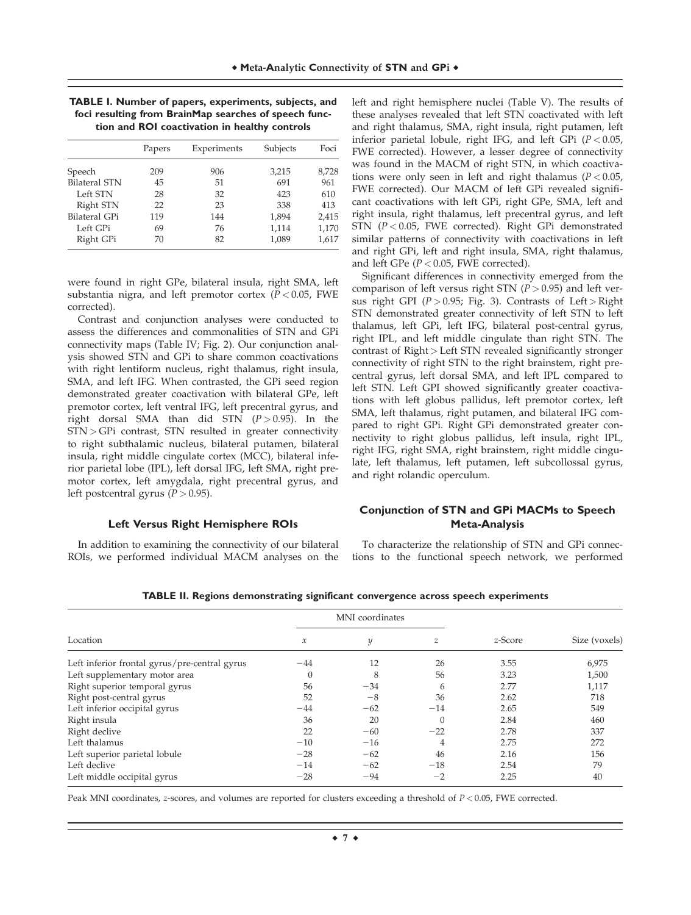|        |             | ,        |       |
|--------|-------------|----------|-------|
| Papers | Experiments | Subjects | Foci  |
| 209    | 906         | 3,215    | 8,728 |
| 45     | 51          | 691      | 961   |
| 28     | 32          | 423      | 610   |
| 22     | 23          | 338      | 413   |
| 119    | 144         | 1,894    | 2,415 |
| 69     | 76          | 1,114    | 1,170 |
| 70     | 82          | 1,089    | 1,617 |
|        |             |          |       |

**TABLE I. Number of papers, experiments, subjects, and foci resulting from BrainMap searches of speech function and ROI coactivation in healthy controls**

were found in right GPe, bilateral insula, right SMA, left substantia nigra, and left premotor cortex  $(P < 0.05$ , FWE corrected).

Contrast and conjunction analyses were conducted to assess the differences and commonalities of STN and GPi connectivity maps (Table IV; Fig. 2). Our conjunction analysis showed STN and GPi to share common coactivations with right lentiform nucleus, right thalamus, right insula, SMA, and left IFG. When contrasted, the GPi seed region demonstrated greater coactivation with bilateral GPe, left premotor cortex, left ventral IFG, left precentral gyrus, and right dorsal SMA than did STN  $(P > 0.95)$ . In the STN > GPi contrast, STN resulted in greater connectivity to right subthalamic nucleus, bilateral putamen, bilateral insula, right middle cingulate cortex (MCC), bilateral inferior parietal lobe (IPL), left dorsal IFG, left SMA, right premotor cortex, left amygdala, right precentral gyrus, and left postcentral gyrus ( $P > 0.95$ ).

#### **Left Versus Right Hemisphere ROIs**

In addition to examining the connectivity of our bilateral ROIs, we performed individual MACM analyses on the left and right hemisphere nuclei (Table V). The results of these analyses revealed that left STN coactivated with left and right thalamus, SMA, right insula, right putamen, left inferior parietal lobule, right IFG, and left GPi  $(P < 0.05$ , FWE corrected). However, a lesser degree of connectivity was found in the MACM of right STN, in which coactivations were only seen in left and right thalamus ( $P < 0.05$ , FWE corrected). Our MACM of left GPi revealed significant coactivations with left GPi, right GPe, SMA, left and right insula, right thalamus, left precentral gyrus, and left STN (P < 0.05, FWE corrected). Right GPi demonstrated similar patterns of connectivity with coactivations in left and right GPi, left and right insula, SMA, right thalamus, and left GPe ( $P < 0.05$ , FWE corrected).

Significant differences in connectivity emerged from the comparison of left versus right STN ( $P > 0.95$ ) and left versus right GPI ( $P > 0.95$ ; Fig. 3). Contrasts of Left > Right STN demonstrated greater connectivity of left STN to left thalamus, left GPi, left IFG, bilateral post-central gyrus, right IPL, and left middle cingulate than right STN. The contrast of Right > Left STN revealed significantly stronger connectivity of right STN to the right brainstem, right precentral gyrus, left dorsal SMA, and left IPL compared to left STN. Left GPI showed significantly greater coactivations with left globus pallidus, left premotor cortex, left SMA, left thalamus, right putamen, and bilateral IFG compared to right GPi. Right GPi demonstrated greater connectivity to right globus pallidus, left insula, right IPL, right IFG, right SMA, right brainstem, right middle cingulate, left thalamus, left putamen, left subcollossal gyrus, and right rolandic operculum.

# **Conjunction of STN and GPi MACMs to Speech Meta-Analysis**

To characterize the relationship of STN and GPi connections to the functional speech network, we performed

|                                               | MNI coordinates |       |          |         |               |
|-----------------------------------------------|-----------------|-------|----------|---------|---------------|
| Location                                      | $\mathcal{X}$   | y     | z        | z-Score | Size (voxels) |
| Left inferior frontal gyrus/pre-central gyrus | $-44$           | 12    | 26       | 3.55    | 6,975         |
| Left supplementary motor area                 | $\theta$        | 8     | 56       | 3.23    | 1,500         |
| Right superior temporal gyrus                 | 56              | $-34$ | 6        | 2.77    | 1,117         |
| Right post-central gyrus                      | 52              | $-8$  | 36       | 2.62    | 718           |
| Left inferior occipital gyrus                 | $-44$           | $-62$ | $-14$    | 2.65    | 549           |
| Right insula                                  | 36              | 20    | $\Omega$ | 2.84    | 460           |
| Right declive                                 | 22              | $-60$ | $-22$    | 2.78    | 337           |
| Left thalamus                                 | $-10$           | $-16$ | 4        | 2.75    | 272           |
| Left superior parietal lobule                 | $-28$           | $-62$ | 46       | 2.16    | 156           |
| Left declive                                  | $-14$           | $-62$ | $-18$    | 2.54    | 79            |
| Left middle occipital gyrus                   | $-28$           | $-94$ | $-2$     | 2.25    | 40            |

**TABLE II. Regions demonstrating significant convergence across speech experiments**

Peak MNI coordinates, z-scores, and volumes are reported for clusters exceeding a threshold of  $P < 0.05$ , FWE corrected.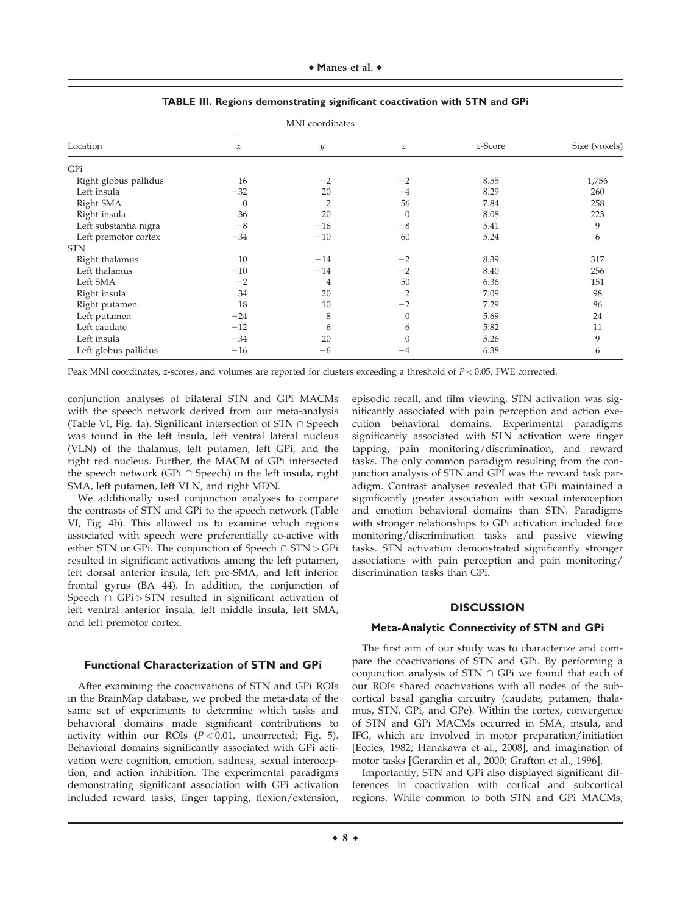|                       |               | MNI coordinates                                           |                |         |               |  |
|-----------------------|---------------|-----------------------------------------------------------|----------------|---------|---------------|--|
| Location              | $\mathcal{X}$ | $\mathcal{Y}% _{M_{1},M_{2}}^{\alpha,\beta}(\varepsilon)$ | $\mathcal{Z}$  | z-Score | Size (voxels) |  |
| GPi                   |               |                                                           |                |         |               |  |
| Right globus pallidus | 16            | $^{-2}$                                                   | $-2$           | 8.55    | 1,756         |  |
| Left insula           | $-32$         | 20                                                        | $-4$           | 8.29    | 260           |  |
| Right SMA             |               | $\overline{2}$                                            | 56             | 7.84    | 258           |  |
| Right insula          | 36            | 20                                                        | $\Omega$       | 8.08    | 223           |  |
| Left substantia nigra | $-8$          | $-16$                                                     | $-8$           | 5.41    | 9             |  |
| Left premotor cortex  | $-34$         | $-10$                                                     | 60             | 5.24    | 6             |  |
| <b>STN</b>            |               |                                                           |                |         |               |  |
| Right thalamus        | 10            | $-14$                                                     | $-2$           | 8.39    | 317           |  |
| Left thalamus         | $-10$         | $-14$                                                     | $-2$           | 8.40    | 256           |  |
| Left SMA              | $-2$          | 4                                                         | 50             | 6.36    | 151           |  |
| Right insula          | 34            | 20                                                        | $\overline{2}$ | 7.09    | 98            |  |
| Right putamen         | 18            | 10                                                        | $-2$           | 7.29    | 86            |  |
| Left putamen          | $-24$         | 8                                                         |                | 5.69    | 24            |  |
| Left caudate          | $-12$         | 6                                                         | 6              | 5.82    | 11            |  |
| Left insula           | $-34$         | 20                                                        |                | 5.26    | 9             |  |
| Left globus pallidus  | $-16$         | -6                                                        |                | 6.38    | 6             |  |

Peak MNI coordinates, z-scores, and volumes are reported for clusters exceeding a threshold of  $P < 0.05$ , FWE corrected.

conjunction analyses of bilateral STN and GPi MACMs with the speech network derived from our meta-analysis (Table VI, Fig. 4a). Significant intersection of  $STN \cap Speech$ was found in the left insula, left ventral lateral nucleus (VLN) of the thalamus, left putamen, left GPi, and the right red nucleus. Further, the MACM of GPi intersected the speech network (GPi  $\cap$  Speech) in the left insula, right SMA, left putamen, left VLN, and right MDN.

We additionally used conjunction analyses to compare the contrasts of STN and GPi to the speech network (Table VI, Fig. 4b). This allowed us to examine which regions associated with speech were preferentially co-active with either STN or GPi. The conjunction of Speech  $\cap$  STN  $>$  GPi resulted in significant activations among the left putamen, left dorsal anterior insula, left pre-SMA, and left inferior frontal gyrus (BA 44). In addition, the conjunction of Speech  $\cap$  GPi > STN resulted in significant activation of left ventral anterior insula, left middle insula, left SMA, and left premotor cortex.

#### **Functional Characterization of STN and GPi**

After examining the coactivations of STN and GPi ROIs in the BrainMap database, we probed the meta-data of the same set of experiments to determine which tasks and behavioral domains made significant contributions to activity within our ROIs  $(P < 0.01$ , uncorrected; Fig. 5). Behavioral domains significantly associated with GPi activation were cognition, emotion, sadness, sexual interoception, and action inhibition. The experimental paradigms demonstrating significant association with GPi activation included reward tasks, finger tapping, flexion/extension, episodic recall, and film viewing. STN activation was significantly associated with pain perception and action execution behavioral domains. Experimental paradigms significantly associated with STN activation were finger tapping, pain monitoring/discrimination, and reward tasks. The only common paradigm resulting from the conjunction analysis of STN and GPI was the reward task paradigm. Contrast analyses revealed that GPi maintained a significantly greater association with sexual interoception and emotion behavioral domains than STN. Paradigms with stronger relationships to GPi activation included face monitoring/discrimination tasks and passive viewing tasks. STN activation demonstrated significantly stronger associations with pain perception and pain monitoring/ discrimination tasks than GPi.

#### **DISCUSSION**

#### **Meta-Analytic Connectivity of STN and GPi**

The first aim of our study was to characterize and compare the coactivations of STN and GPi. By performing a conjunction analysis of STN  $\cap$  GPi we found that each of our ROIs shared coactivations with all nodes of the subcortical basal ganglia circuitry (caudate, putamen, thalamus, STN, GPi, and GPe). Within the cortex, convergence of STN and GPi MACMs occurred in SMA, insula, and IFG, which are involved in motor preparation/initiation [Eccles, 1982; Hanakawa et al., 2008], and imagination of motor tasks [Gerardin et al., 2000; Grafton et al., 1996].

Importantly, STN and GPi also displayed significant differences in coactivation with cortical and subcortical regions. While common to both STN and GPi MACMs,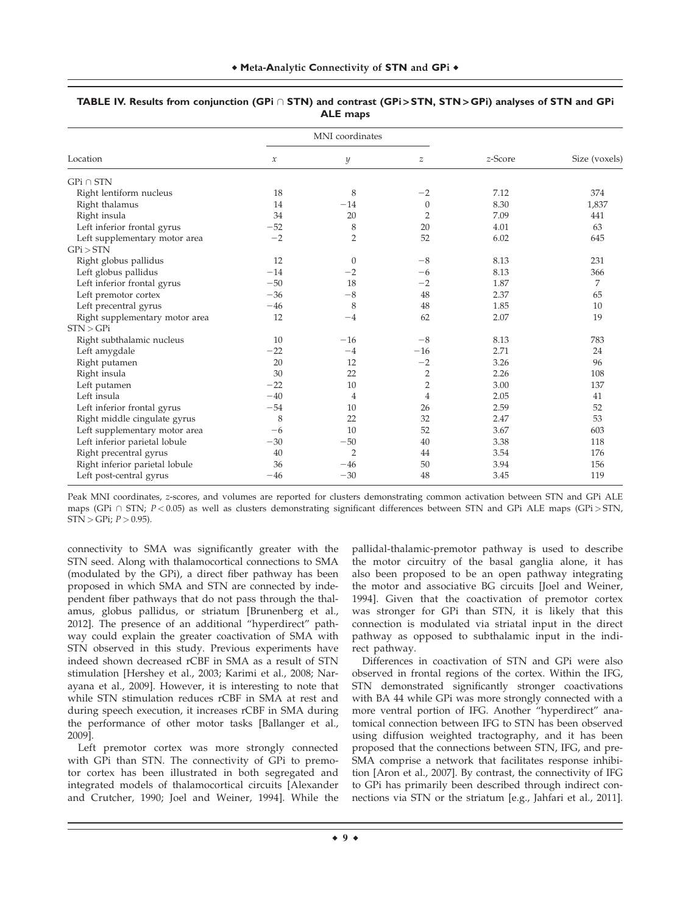|                                | MNI coordinates     |                |                  |         |               |
|--------------------------------|---------------------|----------------|------------------|---------|---------------|
| Location                       | $\boldsymbol{\chi}$ | y              | $\boldsymbol{z}$ | z-Score | Size (voxels) |
| $GPi \cap STN$                 |                     |                |                  |         |               |
| Right lentiform nucleus        | 18                  | 8              | $-2$             | 7.12    | 374           |
| Right thalamus                 | 14                  | $-14$          | $\mathbf{0}$     | 8.30    | 1,837         |
| Right insula                   | 34                  | 20             | $\overline{2}$   | 7.09    | 441           |
| Left inferior frontal gyrus    | $-52$               | 8              | 20               | 4.01    | 63            |
| Left supplementary motor area  | $-2$                | $\overline{2}$ | 52               | 6.02    | 645           |
| GPi > STN                      |                     |                |                  |         |               |
| Right globus pallidus          | 12                  | $\theta$       | $-8$             | 8.13    | 231           |
| Left globus pallidus           | $-14$               | $-2$           | $-6$             | 8.13    | 366           |
| Left inferior frontal gyrus    | $-50$               | 18             | $-2$             | 1.87    | 7             |
| Left premotor cortex           | $-36$               | $-8$           | 48               | 2.37    | 65            |
| Left precentral gyrus          | $-46$               | 8              | 48               | 1.85    | 10            |
| Right supplementary motor area | 12                  | $-4$           | 62               | 2.07    | 19            |
| STN > GPi                      |                     |                |                  |         |               |
| Right subthalamic nucleus      | 10                  | $-16$          | $-8$             | 8.13    | 783           |
| Left amygdale                  | $-22$               | $-4$           | $-16$            | 2.71    | 24            |
| Right putamen                  | 20                  | 12             | $-2$             | 3.26    | 96            |
| Right insula                   | 30                  | 22             | $\overline{2}$   | 2.26    | 108           |
| Left putamen                   | $-22$               | 10             | $\overline{2}$   | 3.00    | 137           |
| Left insula                    | $-40$               | 4              | $\overline{4}$   | 2.05    | 41            |
| Left inferior frontal gyrus    | $-54$               | 10             | 26               | 2.59    | 52            |
| Right middle cingulate gyrus   | 8                   | 22             | 32               | 2.47    | 53            |
| Left supplementary motor area  | $-6$                | 10             | 52               | 3.67    | 603           |
| Left inferior parietal lobule  | $-30$               | $-50$          | 40               | 3.38    | 118           |
| Right precentral gyrus         | 40                  | $\overline{2}$ | 44               | 3.54    | 176           |
| Right inferior parietal lobule | 36                  | $-46$          | 50               | 3.94    | 156           |
| Left post-central gyrus        | $-46$               | $-30$          | 48               | 3.45    | 119           |

#### **TABLE IV. Results from conjunction (GPi** \ **STN) and contrast (GPi** > **STN, STN** > **GPi) analyses of STN and GPi ALE maps**

Peak MNI coordinates, z-scores, and volumes are reported for clusters demonstrating common activation between STN and GPi ALE maps (GPi  $\cap$  STN;  $P < 0.05$ ) as well as clusters demonstrating significant differences between STN and GPi ALE maps (GPi > STN,  $STN > GPi; P > 0.95$ ).

connectivity to SMA was significantly greater with the STN seed. Along with thalamocortical connections to SMA (modulated by the GPi), a direct fiber pathway has been proposed in which SMA and STN are connected by independent fiber pathways that do not pass through the thalamus, globus pallidus, or striatum [Brunenberg et al., 2012]. The presence of an additional "hyperdirect" pathway could explain the greater coactivation of SMA with STN observed in this study. Previous experiments have indeed shown decreased rCBF in SMA as a result of STN stimulation [Hershey et al., 2003; Karimi et al., 2008; Narayana et al., 2009]. However, it is interesting to note that while STN stimulation reduces rCBF in SMA at rest and during speech execution, it increases rCBF in SMA during the performance of other motor tasks [Ballanger et al., 2009].

Left premotor cortex was more strongly connected with GPi than STN. The connectivity of GPi to premotor cortex has been illustrated in both segregated and integrated models of thalamocortical circuits [Alexander and Crutcher, 1990; Joel and Weiner, 1994]. While the pallidal-thalamic-premotor pathway is used to describe the motor circuitry of the basal ganglia alone, it has also been proposed to be an open pathway integrating the motor and associative BG circuits [Joel and Weiner, 1994]. Given that the coactivation of premotor cortex was stronger for GPi than STN, it is likely that this connection is modulated via striatal input in the direct pathway as opposed to subthalamic input in the indirect pathway.

Differences in coactivation of STN and GPi were also observed in frontal regions of the cortex. Within the IFG, STN demonstrated significantly stronger coactivations with BA 44 while GPi was more strongly connected with a more ventral portion of IFG. Another "hyperdirect" anatomical connection between IFG to STN has been observed using diffusion weighted tractography, and it has been proposed that the connections between STN, IFG, and pre-SMA comprise a network that facilitates response inhibition [Aron et al., 2007]. By contrast, the connectivity of IFG to GPi has primarily been described through indirect connections via STN or the striatum [e.g., Jahfari et al., 2011].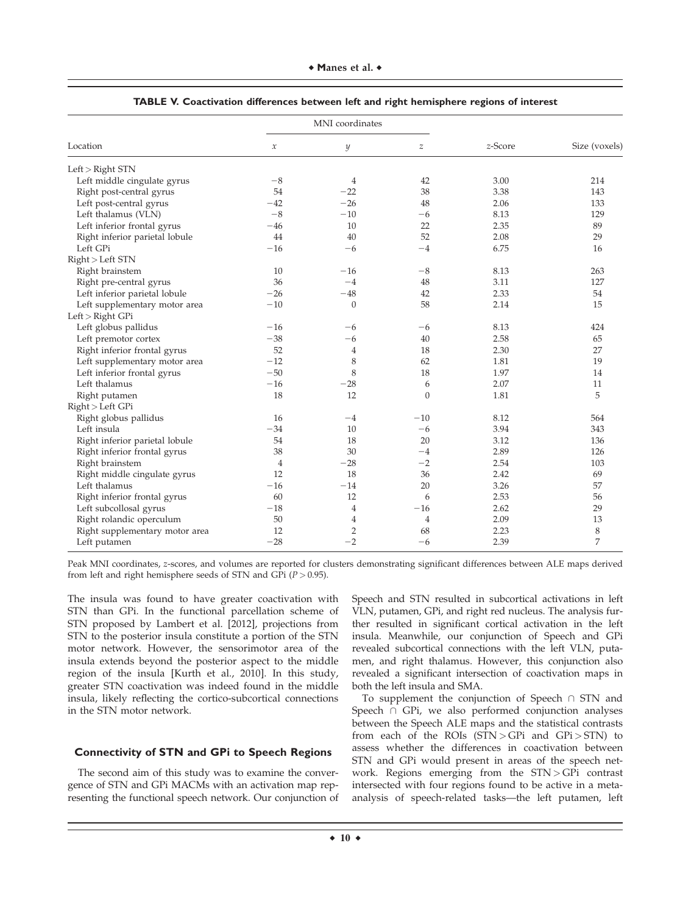|                                | MNI coordinates     |                |                  |         |               |
|--------------------------------|---------------------|----------------|------------------|---------|---------------|
| Location                       | $\boldsymbol{\chi}$ | y              | $\boldsymbol{z}$ | z-Score | Size (voxels) |
| $Left$ > Right $STN$           |                     |                |                  |         |               |
| Left middle cingulate gyrus    | $-8$                | $\overline{4}$ | 42               | 3.00    | 214           |
| Right post-central gyrus       | 54                  | $-22$          | 38               | 3.38    | 143           |
| Left post-central gyrus        | $-42$               | $-26$          | 48               | 2.06    | 133           |
| Left thalamus (VLN)            | $-8$                | $-10$          | $-6$             | 8.13    | 129           |
| Left inferior frontal gyrus    | $-46$               | 10             | 22               | 2.35    | 89            |
| Right inferior parietal lobule | 44                  | 40             | 52               | 2.08    | 29            |
| Left GPi                       | $-16$               | $-6$           | $-4$             | 6.75    | 16            |
| Right > Left STN               |                     |                |                  |         |               |
| Right brainstem                | 10                  | $-16$          | $-8$             | 8.13    | 263           |
| Right pre-central gyrus        | 36                  | $-4$           | 48               | 3.11    | 127           |
| Left inferior parietal lobule  | $-26$               | $-48$          | 42               | 2.33    | 54            |
| Left supplementary motor area  | $-10$               | $\mathbf{0}$   | 58               | 2.14    | 15            |
| Left > Right GPi               |                     |                |                  |         |               |
| Left globus pallidus           | $-16$               | -6             | -6               | 8.13    | 424           |
| Left premotor cortex           | $-38$               | $-6$           | 40               | 2.58    | 65            |
| Right inferior frontal gyrus   | 52                  | 4              | 18               | 2.30    | 27            |
| Left supplementary motor area  | $-12$               | 8              | 62               | 1.81    | 19            |
| Left inferior frontal gyrus    | $-50$               | 8              | 18               | 1.97    | 14            |
| Left thalamus                  | $-16$               | $-28$          | 6                | 2.07    | 11            |
| Right putamen                  | 18                  | 12             | $\theta$         | 1.81    | 5             |
| Right > Left GPi               |                     |                |                  |         |               |
| Right globus pallidus          | 16                  | $-4$           | $-10$            | 8.12    | 564           |
| Left insula                    | $-34$               | 10             | $-6$             | 3.94    | 343           |
| Right inferior parietal lobule | 54                  | 18             | 20               | 3.12    | 136           |
| Right inferior frontal gyrus   | 38                  | 30             | $-4$             | 2.89    | 126           |
| Right brainstem                | $\overline{4}$      | $-28$          | $-2$             | 2.54    | 103           |
| Right middle cingulate gyrus   | 12                  | 18             | 36               | 2.42    | 69            |
| Left thalamus                  | $-16$               | $-14$          | 20               | 3.26    | 57            |
| Right inferior frontal gyrus   | 60                  | 12             | 6                | 2.53    | 56            |
| Left subcollosal gyrus         | $-18$               | $\overline{4}$ | $-16$            | 2.62    | 29            |
| Right rolandic operculum       | 50                  | 4              | 4                | 2.09    | 13            |
| Right supplementary motor area | 12                  | $\overline{2}$ | 68               | 2.23    | $\,$ 8 $\,$   |
| Left putamen                   | $-28$               | $-2$           | $-6$             | 2.39    | 7             |

#### **TABLE V. Coactivation differences between left and right hemisphere regions of interest**

Peak MNI coordinates, z-scores, and volumes are reported for clusters demonstrating significant differences between ALE maps derived from left and right hemisphere seeds of STN and GPi  $(P > 0.95)$ .

The insula was found to have greater coactivation with STN than GPi. In the functional parcellation scheme of STN proposed by Lambert et al. [2012], projections from STN to the posterior insula constitute a portion of the STN motor network. However, the sensorimotor area of the insula extends beyond the posterior aspect to the middle region of the insula [Kurth et al., 2010]. In this study, greater STN coactivation was indeed found in the middle insula, likely reflecting the cortico-subcortical connections in the STN motor network.

# **Connectivity of STN and GPi to Speech Regions**

The second aim of this study was to examine the convergence of STN and GPi MACMs with an activation map representing the functional speech network. Our conjunction of Speech and STN resulted in subcortical activations in left VLN, putamen, GPi, and right red nucleus. The analysis further resulted in significant cortical activation in the left insula. Meanwhile, our conjunction of Speech and GPi revealed subcortical connections with the left VLN, putamen, and right thalamus. However, this conjunction also revealed a significant intersection of coactivation maps in both the left insula and SMA.

To supplement the conjunction of Speech  $\cap$  STN and Speech  $\cap$  GPi, we also performed conjunction analyses between the Speech ALE maps and the statistical contrasts from each of the ROIs  $(STN > GPi$  and  $GPi > STN$ ) to assess whether the differences in coactivation between STN and GPi would present in areas of the speech network. Regions emerging from the STN > GPi contrast intersected with four regions found to be active in a metaanalysis of speech-related tasks—the left putamen, left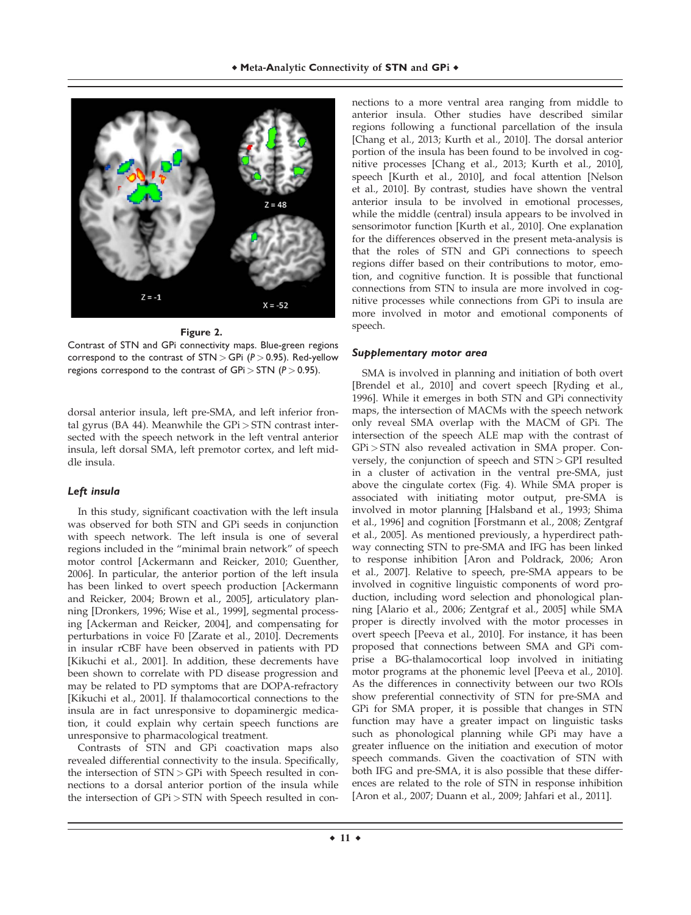

**Figure 2.**

Contrast of STN and GPi connectivity maps. Blue-green regions correspond to the contrast of STN > GPi (*P* > 0.95). Red-yellow regions correspond to the contrast of GPi > STN (*P* > 0.95).

dorsal anterior insula, left pre-SMA, and left inferior frontal gyrus (BA 44). Meanwhile the GPi > STN contrast intersected with the speech network in the left ventral anterior insula, left dorsal SMA, left premotor cortex, and left middle insula.

#### Left insula

In this study, significant coactivation with the left insula was observed for both STN and GPi seeds in conjunction with speech network. The left insula is one of several regions included in the "minimal brain network" of speech motor control [Ackermann and Reicker, 2010; Guenther, 2006]. In particular, the anterior portion of the left insula has been linked to overt speech production [Ackermann and Reicker, 2004; Brown et al., 2005], articulatory planning [Dronkers, 1996; Wise et al., 1999], segmental processing [Ackerman and Reicker, 2004], and compensating for perturbations in voice F0 [Zarate et al., 2010]. Decrements in insular rCBF have been observed in patients with PD [Kikuchi et al., 2001]. In addition, these decrements have been shown to correlate with PD disease progression and may be related to PD symptoms that are DOPA-refractory [Kikuchi et al., 2001]. If thalamocortical connections to the insula are in fact unresponsive to dopaminergic medication, it could explain why certain speech functions are unresponsive to pharmacological treatment.

Contrasts of STN and GPi coactivation maps also revealed differential connectivity to the insula. Specifically, the intersection of  $STN > GPi$  with Speech resulted in connections to a dorsal anterior portion of the insula while the intersection of GPi > STN with Speech resulted in connections to a more ventral area ranging from middle to anterior insula. Other studies have described similar regions following a functional parcellation of the insula [Chang et al., 2013; Kurth et al., 2010]. The dorsal anterior portion of the insula has been found to be involved in cognitive processes [Chang et al., 2013; Kurth et al., 2010], speech [Kurth et al., 2010], and focal attention [Nelson et al., 2010]. By contrast, studies have shown the ventral anterior insula to be involved in emotional processes, while the middle (central) insula appears to be involved in sensorimotor function [Kurth et al., 2010]. One explanation for the differences observed in the present meta-analysis is that the roles of STN and GPi connections to speech regions differ based on their contributions to motor, emotion, and cognitive function. It is possible that functional connections from STN to insula are more involved in cognitive processes while connections from GPi to insula are more involved in motor and emotional components of speech.

#### Supplementary motor area

SMA is involved in planning and initiation of both overt [Brendel et al., 2010] and covert speech [Ryding et al., 1996]. While it emerges in both STN and GPi connectivity maps, the intersection of MACMs with the speech network only reveal SMA overlap with the MACM of GPi. The intersection of the speech ALE map with the contrast of GPi > STN also revealed activation in SMA proper. Conversely, the conjunction of speech and STN > GPI resulted in a cluster of activation in the ventral pre-SMA, just above the cingulate cortex (Fig. 4). While SMA proper is associated with initiating motor output, pre-SMA is involved in motor planning [Halsband et al., 1993; Shima et al., 1996] and cognition [Forstmann et al., 2008; Zentgraf et al., 2005]. As mentioned previously, a hyperdirect pathway connecting STN to pre-SMA and IFG has been linked to response inhibition [Aron and Poldrack, 2006; Aron et al., 2007]. Relative to speech, pre-SMA appears to be involved in cognitive linguistic components of word production, including word selection and phonological planning [Alario et al., 2006; Zentgraf et al., 2005] while SMA proper is directly involved with the motor processes in overt speech [Peeva et al., 2010]. For instance, it has been proposed that connections between SMA and GPi comprise a BG-thalamocortical loop involved in initiating motor programs at the phonemic level [Peeva et al., 2010]. As the differences in connectivity between our two ROIs show preferential connectivity of STN for pre-SMA and GPi for SMA proper, it is possible that changes in STN function may have a greater impact on linguistic tasks such as phonological planning while GPi may have a greater influence on the initiation and execution of motor speech commands. Given the coactivation of STN with both IFG and pre-SMA, it is also possible that these differences are related to the role of STN in response inhibition [Aron et al., 2007; Duann et al., 2009; Jahfari et al., 2011].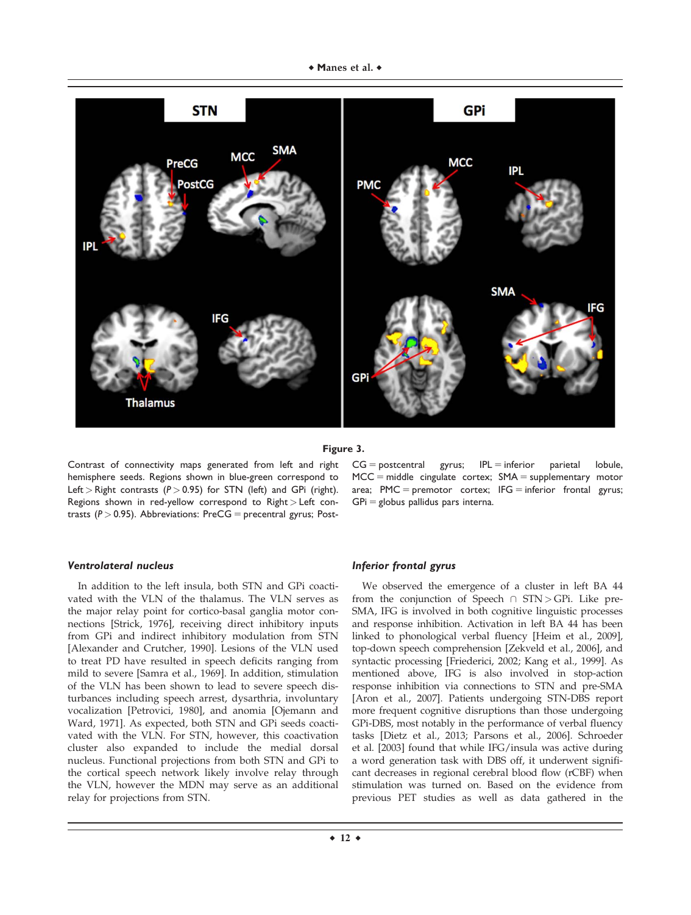

#### **Figure 3.**

Contrast of connectivity maps generated from left and right hemisphere seeds. Regions shown in blue-green correspond to Left > Right contrasts (P > 0.95) for STN (left) and GPi (right). Regions shown in red-yellow correspond to Right > Left contrasts  $(P > 0.95)$ . Abbreviations: PreCG = precentral gyrus; Post-

 $CG = postcentral$  gyrus; IPL = inferior parietal lobule,  $MCC = mid$ dle cingulate cortex;  $SMA = supplementary motor$ area;  $PMC =$  premotor cortex; IFG = inferior frontal gyrus;  $GPi = globus$  pallidus pars interna.

#### Ventrolateral nucleus

In addition to the left insula, both STN and GPi coactivated with the VLN of the thalamus. The VLN serves as the major relay point for cortico-basal ganglia motor connections [Strick, 1976], receiving direct inhibitory inputs from GPi and indirect inhibitory modulation from STN [Alexander and Crutcher, 1990]. Lesions of the VLN used to treat PD have resulted in speech deficits ranging from mild to severe [Samra et al., 1969]. In addition, stimulation of the VLN has been shown to lead to severe speech disturbances including speech arrest, dysarthria, involuntary vocalization [Petrovici, 1980], and anomia [Ojemann and Ward, 1971]. As expected, both STN and GPi seeds coactivated with the VLN. For STN, however, this coactivation cluster also expanded to include the medial dorsal nucleus. Functional projections from both STN and GPi to the cortical speech network likely involve relay through the VLN, however the MDN may serve as an additional relay for projections from STN.

#### Inferior frontal gyrus

We observed the emergence of a cluster in left BA 44 from the conjunction of Speech  $\cap$  STN > GPi. Like pre-SMA, IFG is involved in both cognitive linguistic processes and response inhibition. Activation in left BA 44 has been linked to phonological verbal fluency [Heim et al., 2009], top-down speech comprehension [Zekveld et al., 2006], and syntactic processing [Friederici, 2002; Kang et al., 1999]. As mentioned above, IFG is also involved in stop-action response inhibition via connections to STN and pre-SMA [Aron et al., 2007]. Patients undergoing STN-DBS report more frequent cognitive disruptions than those undergoing GPi-DBS, most notably in the performance of verbal fluency tasks [Dietz et al., 2013; Parsons et al., 2006]. Schroeder et al. [2003] found that while IFG/insula was active during a word generation task with DBS off, it underwent significant decreases in regional cerebral blood flow (rCBF) when stimulation was turned on. Based on the evidence from previous PET studies as well as data gathered in the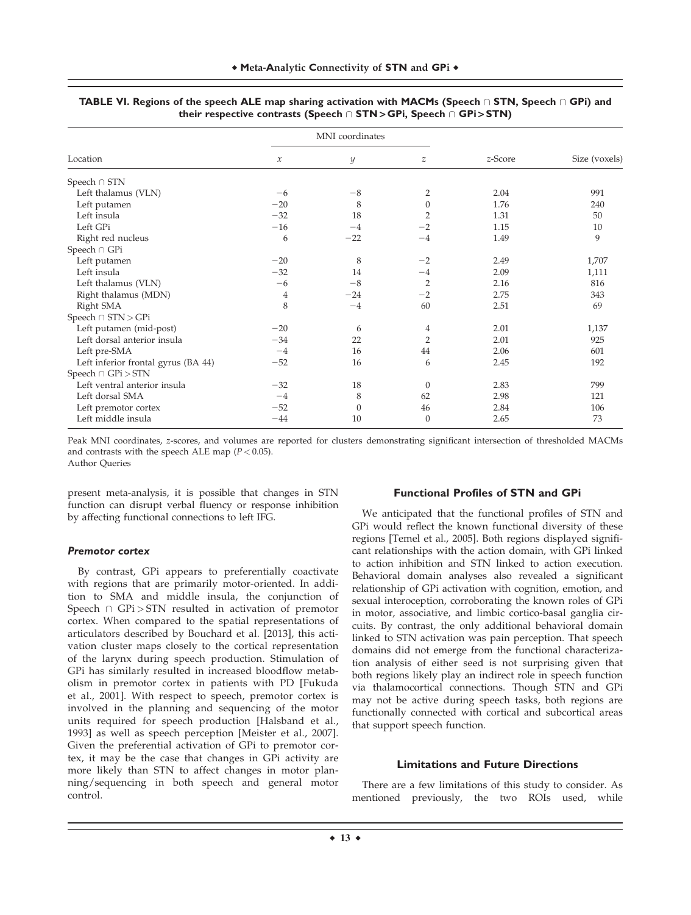|                                     | MNI coordinates     |          |                  |         |               |
|-------------------------------------|---------------------|----------|------------------|---------|---------------|
| Location                            | $\boldsymbol{\chi}$ | y        | $\mathcal{Z}$    | z-Score | Size (voxels) |
| Speech $\cap$ STN                   |                     |          |                  |         |               |
| Left thalamus (VLN)                 | $-6$                | $-8$     | 2                | 2.04    | 991           |
| Left putamen                        | $-20$               | 8        | $\overline{0}$   | 1.76    | 240           |
| Left insula                         | $-32$               | 18       | $\overline{2}$   | 1.31    | 50            |
| Left GPi                            | $-16$               | $-4$     | $-2$             | 1.15    | 10            |
| Right red nucleus                   | 6                   | $-22$    | $-4$             | 1.49    | 9             |
| Speech $\cap$ GPi                   |                     |          |                  |         |               |
| Left putamen                        | $-20$               | 8        | $-2$             | 2.49    | 1,707         |
| Left insula                         | $-32$               | 14       | $-4$             | 2.09    | 1,111         |
| Left thalamus (VLN)                 | $-6$                | $-8$     | $\overline{2}$   | 2.16    | 816           |
| Right thalamus (MDN)                | 4                   | $-24$    | $-2$             | 2.75    | 343           |
| Right SMA                           | 8                   | $-4$     | 60               | 2.51    | 69            |
| Speech $\cap$ STN $>$ GPi           |                     |          |                  |         |               |
| Left putamen (mid-post)             | $-20$               | 6        | 4                | 2.01    | 1,137         |
| Left dorsal anterior insula         | $-34$               | 22       | 2                | 2.01    | 925           |
| Left pre-SMA                        | $-4$                | 16       | 44               | 2.06    | 601           |
| Left inferior frontal gyrus (BA 44) | $-52$               | 16       | 6                | 2.45    | 192           |
| Speech $\cap$ GPi $>$ STN           |                     |          |                  |         |               |
| Left ventral anterior insula        | $-32$               | 18       | $\boldsymbol{0}$ | 2.83    | 799           |
| Left dorsal SMA                     | $-4$                | 8        | 62               | 2.98    | 121           |
| Left premotor cortex                | $-52$               | $\Omega$ | 46               | 2.84    | 106           |
| Left middle insula                  | $-44$               | 10       | $\theta$         | 2.65    | 73            |

# **TABLE VI. Regions of the speech ALE map sharing activation with MACMs (Speech** \ **STN, Speech** \ **GPi) and their respective contrasts (Speech** \ **STN** > **GPi, Speech** \ **GPi** > **STN)**

Peak MNI coordinates, z-scores, and volumes are reported for clusters demonstrating significant intersection of thresholded MACMs and contrasts with the speech ALE map ( $P < 0.05$ ).

Author Queries

present meta-analysis, it is possible that changes in STN function can disrupt verbal fluency or response inhibition by affecting functional connections to left IFG.

#### Premotor cortex

By contrast, GPi appears to preferentially coactivate with regions that are primarily motor-oriented. In addition to SMA and middle insula, the conjunction of Speech  $\cap$  GPi > STN resulted in activation of premotor cortex. When compared to the spatial representations of articulators described by Bouchard et al. [2013], this activation cluster maps closely to the cortical representation of the larynx during speech production. Stimulation of GPi has similarly resulted in increased bloodflow metabolism in premotor cortex in patients with PD [Fukuda et al., 2001]. With respect to speech, premotor cortex is involved in the planning and sequencing of the motor units required for speech production [Halsband et al., 1993] as well as speech perception [Meister et al., 2007]. Given the preferential activation of GPi to premotor cortex, it may be the case that changes in GPi activity are more likely than STN to affect changes in motor planning/sequencing in both speech and general motor control.

#### **Functional Profiles of STN and GPi**

We anticipated that the functional profiles of STN and GPi would reflect the known functional diversity of these regions [Temel et al., 2005]. Both regions displayed significant relationships with the action domain, with GPi linked to action inhibition and STN linked to action execution. Behavioral domain analyses also revealed a significant relationship of GPi activation with cognition, emotion, and sexual interoception, corroborating the known roles of GPi in motor, associative, and limbic cortico-basal ganglia circuits. By contrast, the only additional behavioral domain linked to STN activation was pain perception. That speech domains did not emerge from the functional characterization analysis of either seed is not surprising given that both regions likely play an indirect role in speech function via thalamocortical connections. Though STN and GPi may not be active during speech tasks, both regions are functionally connected with cortical and subcortical areas that support speech function.

# **Limitations and Future Directions**

There are a few limitations of this study to consider. As mentioned previously, the two ROIs used, while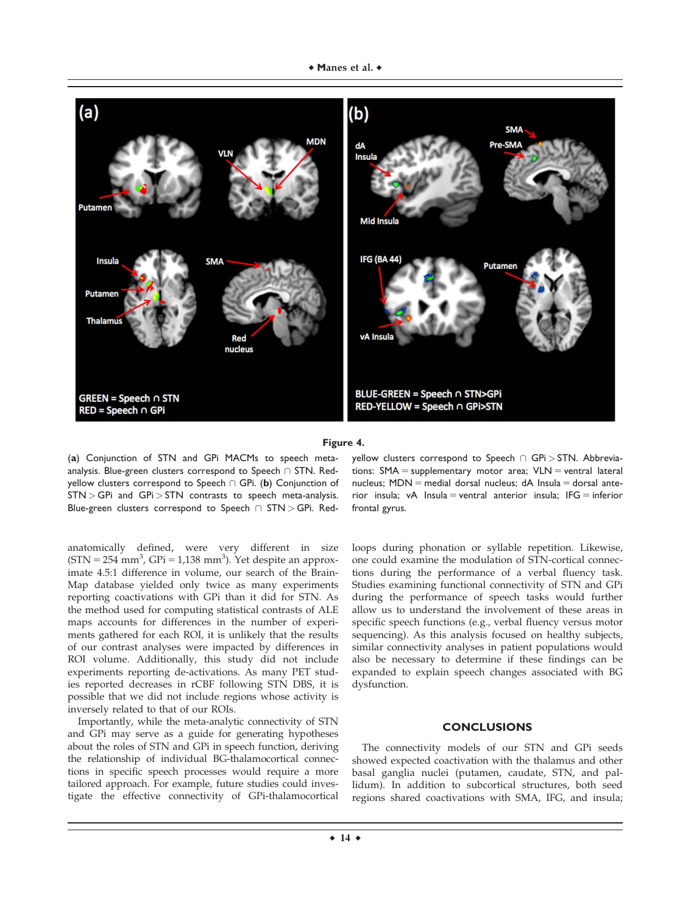

#### **Figure 4.**

(**a**) Conjunction of STN and GPi MACMs to speech metaanalysis. Blue-green clusters correspond to Speech  $\cap$  STN. Redyellow clusters correspond to Speech  $\cap$  GPi. (b) Conjunction of  $STN > GPi$  and  $GPi > STN$  contrasts to speech meta-analysis. Blue-green clusters correspond to Speech  $\cap$  STN  $>$  GPi. Red-

anatomically defined, were very different in size  $(STN = 254 mm<sup>3</sup>, GPi = 1,138 mm<sup>3</sup>).$  Yet despite an approximate 4.5:1 difference in volume, our search of the Brain-Map database yielded only twice as many experiments reporting coactivations with GPi than it did for STN. As the method used for computing statistical contrasts of ALE maps accounts for differences in the number of experiments gathered for each ROI, it is unlikely that the results of our contrast analyses were impacted by differences in ROI volume. Additionally, this study did not include experiments reporting de-activations. As many PET studies reported decreases in rCBF following STN DBS, it is possible that we did not include regions whose activity is inversely related to that of our ROIs.

Importantly, while the meta-analytic connectivity of STN and GPi may serve as a guide for generating hypotheses about the roles of STN and GPi in speech function, deriving the relationship of individual BG-thalamocortical connections in specific speech processes would require a more tailored approach. For example, future studies could investigate the effective connectivity of GPi-thalamocortical yellow clusters correspond to Speech  $\cap$  GPi > STN. Abbreviations:  $SMA = supplementary motor area; VLN = ventral lateral$ nucleus;  $MDN$  = medial dorsal nucleus; dA Insula = dorsal anterior insula; vA Insula = ventral anterior insula; IFG = inferior frontal gyrus.

loops during phonation or syllable repetition. Likewise, one could examine the modulation of STN-cortical connections during the performance of a verbal fluency task. Studies examining functional connectivity of STN and GPi during the performance of speech tasks would further allow us to understand the involvement of these areas in specific speech functions (e.g., verbal fluency versus motor sequencing). As this analysis focused on healthy subjects, similar connectivity analyses in patient populations would also be necessary to determine if these findings can be expanded to explain speech changes associated with BG dysfunction.

# **CONCLUSIONS**

The connectivity models of our STN and GPi seeds showed expected coactivation with the thalamus and other basal ganglia nuclei (putamen, caudate, STN, and pallidum). In addition to subcortical structures, both seed regions shared coactivations with SMA, IFG, and insula;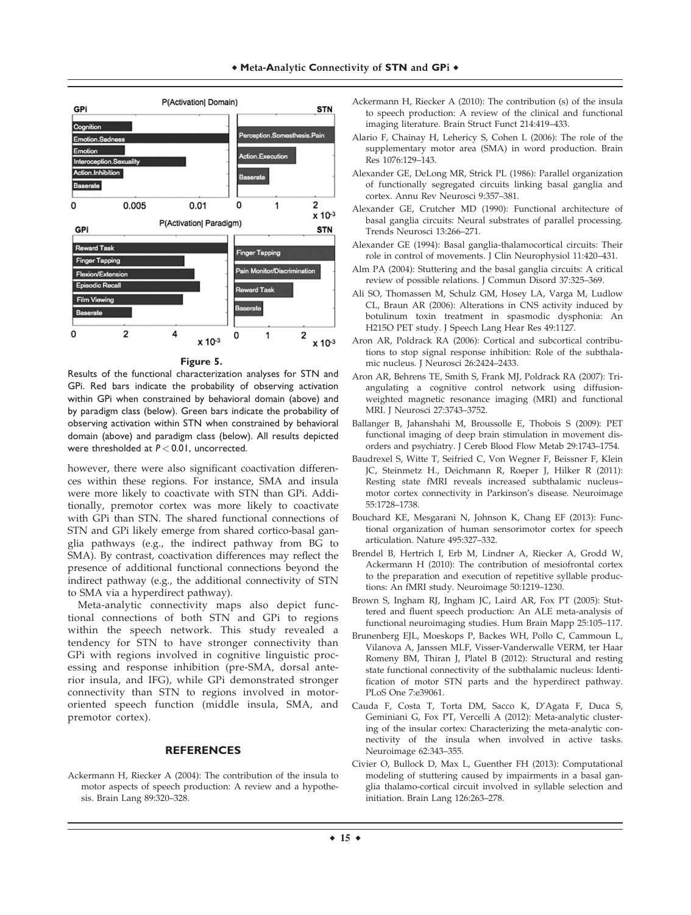



Results of the functional characterization analyses for STN and GPi. Red bars indicate the probability of observing activation within GPi when constrained by behavioral domain (above) and by paradigm class (below). Green bars indicate the probability of observing activation within STN when constrained by behavioral domain (above) and paradigm class (below). All results depicted were thresholded at *P* < 0.01, uncorrected.

however, there were also significant coactivation differences within these regions. For instance, SMA and insula were more likely to coactivate with STN than GPi. Additionally, premotor cortex was more likely to coactivate with GPi than STN. The shared functional connections of STN and GPi likely emerge from shared cortico-basal ganglia pathways (e.g., the indirect pathway from BG to SMA). By contrast, coactivation differences may reflect the presence of additional functional connections beyond the indirect pathway (e.g., the additional connectivity of STN to SMA via a hyperdirect pathway).

Meta-analytic connectivity maps also depict functional connections of both STN and GPi to regions within the speech network. This study revealed a tendency for STN to have stronger connectivity than GPi with regions involved in cognitive linguistic processing and response inhibition (pre-SMA, dorsal anterior insula, and IFG), while GPi demonstrated stronger connectivity than STN to regions involved in motororiented speech function (middle insula, SMA, and premotor cortex).

#### **REFERENCES**

Ackermann H, Riecker A (2004): The contribution of the insula to motor aspects of speech production: A review and a hypothesis. Brain Lang 89:320–328.

- Ackermann H, Riecker A (2010): The contribution (s) of the insula to speech production: A review of the clinical and functional imaging literature. Brain Struct Funct 214:419–433.
- Alario F, Chainay H, Lehericy S, Cohen L (2006): The role of the supplementary motor area (SMA) in word production. Brain Res 1076:129–143.
- Alexander GE, DeLong MR, Strick PL (1986): Parallel organization of functionally segregated circuits linking basal ganglia and cortex. Annu Rev Neurosci 9:357–381.
- Alexander GE, Crutcher MD (1990): Functional architecture of basal ganglia circuits: Neural substrates of parallel processing. Trends Neurosci 13:266–271.
- Alexander GE (1994): Basal ganglia-thalamocortical circuits: Their role in control of movements. J Clin Neurophysiol 11:420–431.
- Alm PA (2004): Stuttering and the basal ganglia circuits: A critical review of possible relations. J Commun Disord 37:325–369.
- Ali SO, Thomassen M, Schulz GM, Hosey LA, Varga M, Ludlow CL, Braun AR (2006): Alterations in CNS activity induced by botulinum toxin treatment in spasmodic dysphonia: An H215O PET study. J Speech Lang Hear Res 49:1127.
- Aron AR, Poldrack RA (2006): Cortical and subcortical contributions to stop signal response inhibition: Role of the subthalamic nucleus. J Neurosci 26:2424–2433.
- Aron AR, Behrens TE, Smith S, Frank MJ, Poldrack RA (2007): Triangulating a cognitive control network using diffusionweighted magnetic resonance imaging (MRI) and functional MRI. J Neurosci 27:3743–3752.
- Ballanger B, Jahanshahi M, Broussolle E, Thobois S (2009): PET functional imaging of deep brain stimulation in movement disorders and psychiatry. J Cereb Blood Flow Metab 29:1743–1754.
- Baudrexel S, Witte T, Seifried C, Von Wegner F, Beissner F, Klein JC, Steinmetz H., Deichmann R, Roeper J, Hilker R (2011): Resting state fMRI reveals increased subthalamic nucleus– motor cortex connectivity in Parkinson's disease. Neuroimage 55:1728–1738.
- Bouchard KE, Mesgarani N, Johnson K, Chang EF (2013): Functional organization of human sensorimotor cortex for speech articulation. Nature 495:327–332.
- Brendel B, Hertrich I, Erb M, Lindner A, Riecker A, Grodd W, Ackermann H (2010): The contribution of mesiofrontal cortex to the preparation and execution of repetitive syllable productions: An fMRI study. Neuroimage 50:1219–1230.
- Brown S, Ingham RJ, Ingham JC, Laird AR, Fox PT (2005): Stuttered and fluent speech production: An ALE meta-analysis of functional neuroimaging studies. Hum Brain Mapp 25:105–117.
- Brunenberg EJL, Moeskops P, Backes WH, Pollo C, Cammoun L, Vilanova A, Janssen MLF, Visser-Vanderwalle VERM, ter Haar Romeny BM, Thiran J, Platel B (2012): Structural and resting state functional connectivity of the subthalamic nucleus: Identification of motor STN parts and the hyperdirect pathway. PLoS One 7:e39061.
- Cauda F, Costa T, Torta DM, Sacco K, D'Agata F, Duca S, Geminiani G, Fox PT, Vercelli A (2012): Meta-analytic clustering of the insular cortex: Characterizing the meta-analytic connectivity of the insula when involved in active tasks. Neuroimage 62:343–355.
- Civier O, Bullock D, Max L, Guenther FH (2013): Computational modeling of stuttering caused by impairments in a basal ganglia thalamo-cortical circuit involved in syllable selection and initiation. Brain Lang 126:263–278.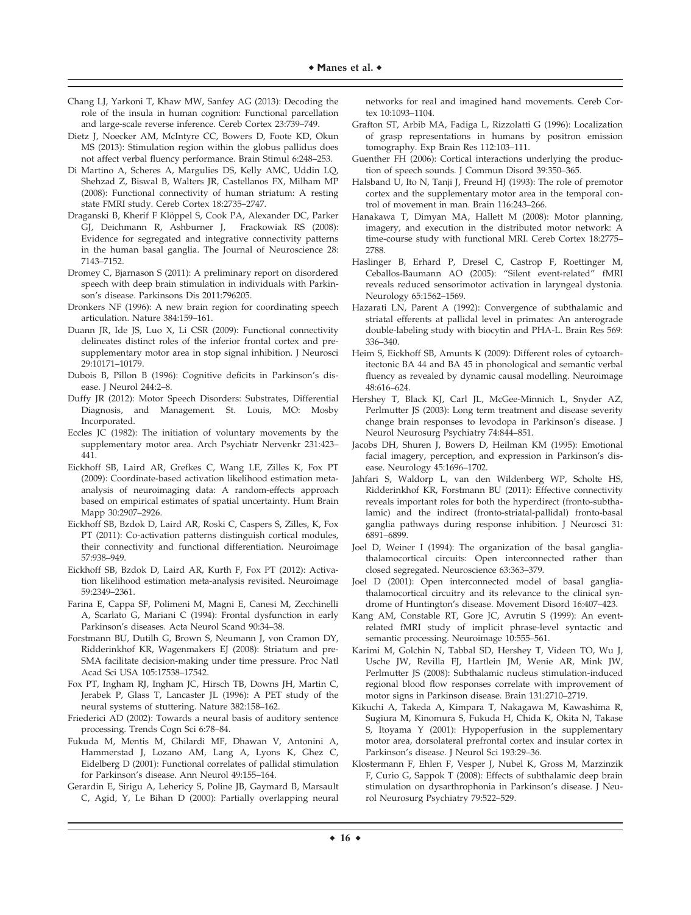- Chang LJ, Yarkoni T, Khaw MW, Sanfey AG (2013): Decoding the role of the insula in human cognition: Functional parcellation and large-scale reverse inference. Cereb Cortex 23:739–749.
- Dietz J, Noecker AM, McIntyre CC, Bowers D, Foote KD, Okun MS (2013): Stimulation region within the globus pallidus does not affect verbal fluency performance. Brain Stimul 6:248–253.
- Di Martino A, Scheres A, Margulies DS, Kelly AMC, Uddin LQ, Shehzad Z, Biswal B, Walters JR, Castellanos FX, Milham MP (2008): Functional connectivity of human striatum: A resting state FMRI study. Cereb Cortex 18:2735–2747.
- Draganski B, Kherif F Klöppel S, Cook PA, Alexander DC, Parker GJ, Deichmann R, Ashburner J, Frackowiak RS (2008): Evidence for segregated and integrative connectivity patterns in the human basal ganglia. The Journal of Neuroscience 28: 7143–7152.
- Dromey C, Bjarnason S (2011): A preliminary report on disordered speech with deep brain stimulation in individuals with Parkinson's disease. Parkinsons Dis 2011:796205.
- Dronkers NF (1996): A new brain region for coordinating speech articulation. Nature 384:159–161.
- Duann JR, Ide JS, Luo X, Li CSR (2009): Functional connectivity delineates distinct roles of the inferior frontal cortex and presupplementary motor area in stop signal inhibition. J Neurosci 29:10171–10179.
- Dubois B, Pillon B (1996): Cognitive deficits in Parkinson's disease. J Neurol 244:2–8.
- Duffy JR (2012): Motor Speech Disorders: Substrates, Differential Diagnosis, and Management. St. Louis, MO: Mosby Incorporated.
- Eccles JC (1982): The initiation of voluntary movements by the supplementary motor area. Arch Psychiatr Nervenkr 231:423– 441.
- Eickhoff SB, Laird AR, Grefkes C, Wang LE, Zilles K, Fox PT (2009): Coordinate-based activation likelihood estimation metaanalysis of neuroimaging data: A random-effects approach based on empirical estimates of spatial uncertainty. Hum Brain Mapp 30:2907–2926.
- Eickhoff SB, Bzdok D, Laird AR, Roski C, Caspers S, Zilles, K, Fox PT (2011): Co-activation patterns distinguish cortical modules, their connectivity and functional differentiation. Neuroimage 57:938–949.
- Eickhoff SB, Bzdok D, Laird AR, Kurth F, Fox PT (2012): Activation likelihood estimation meta-analysis revisited. Neuroimage 59:2349–2361.
- Farina E, Cappa SF, Polimeni M, Magni E, Canesi M, Zecchinelli A, Scarlato G, Mariani C (1994): Frontal dysfunction in early Parkinson's diseases. Acta Neurol Scand 90:34–38.
- Forstmann BU, Dutilh G, Brown S, Neumann J, von Cramon DY, Ridderinkhof KR, Wagenmakers EJ (2008): Striatum and pre-SMA facilitate decision-making under time pressure. Proc Natl Acad Sci USA 105:17538–17542.
- Fox PT, Ingham RJ, Ingham JC, Hirsch TB, Downs JH, Martin C, Jerabek P, Glass T, Lancaster JL (1996): A PET study of the neural systems of stuttering. Nature 382:158–162.
- Friederici AD (2002): Towards a neural basis of auditory sentence processing. Trends Cogn Sci 6:78–84.
- Fukuda M, Mentis M, Ghilardi MF, Dhawan V, Antonini A, Hammerstad J, Lozano AM, Lang A, Lyons K, Ghez C, Eidelberg D (2001): Functional correlates of pallidal stimulation for Parkinson's disease. Ann Neurol 49:155–164.
- Gerardin E, Sirigu A, Lehericy S, Poline JB, Gaymard B, Marsault C, Agid, Y, Le Bihan D (2000): Partially overlapping neural

networks for real and imagined hand movements. Cereb Cortex 10:1093–1104.

- Grafton ST, Arbib MA, Fadiga L, Rizzolatti G (1996): Localization of grasp representations in humans by positron emission tomography. Exp Brain Res 112:103–111.
- Guenther FH (2006): Cortical interactions underlying the production of speech sounds. J Commun Disord 39:350–365.
- Halsband U, Ito N, Tanji J, Freund HJ (1993): The role of premotor cortex and the supplementary motor area in the temporal control of movement in man. Brain 116:243–266.
- Hanakawa T, Dimyan MA, Hallett M (2008): Motor planning, imagery, and execution in the distributed motor network: A time-course study with functional MRI. Cereb Cortex 18:2775– 2788.
- Haslinger B, Erhard P, Dresel C, Castrop F, Roettinger M, Ceballos-Baumann AO (2005): "Silent event-related" fMRI reveals reduced sensorimotor activation in laryngeal dystonia. Neurology 65:1562–1569.
- Hazarati LN, Parent A (1992): Convergence of subthalamic and striatal efferents at pallidal level in primates: An anterograde double-labeling study with biocytin and PHA-L. Brain Res 569: 336–340.
- Heim S, Eickhoff SB, Amunts K (2009): Different roles of cytoarchitectonic BA 44 and BA 45 in phonological and semantic verbal fluency as revealed by dynamic causal modelling. Neuroimage 48:616–624.
- Hershey T, Black KJ, Carl JL, McGee-Minnich L, Snyder AZ, Perlmutter JS (2003): Long term treatment and disease severity change brain responses to levodopa in Parkinson's disease. J Neurol Neurosurg Psychiatry 74:844–851.
- Jacobs DH, Shuren J, Bowers D, Heilman KM (1995): Emotional facial imagery, perception, and expression in Parkinson's disease. Neurology 45:1696–1702.
- Jahfari S, Waldorp L, van den Wildenberg WP, Scholte HS, Ridderinkhof KR, Forstmann BU (2011): Effective connectivity reveals important roles for both the hyperdirect (fronto-subthalamic) and the indirect (fronto-striatal-pallidal) fronto-basal ganglia pathways during response inhibition. J Neurosci 31: 6891–6899.
- Joel D, Weiner I (1994): The organization of the basal gangliathalamocortical circuits: Open interconnected rather than closed segregated. Neuroscience 63:363–379.
- Joel D (2001): Open interconnected model of basal gangliathalamocortical circuitry and its relevance to the clinical syndrome of Huntington's disease. Movement Disord 16:407–423.
- Kang AM, Constable RT, Gore JC, Avrutin S (1999): An eventrelated fMRI study of implicit phrase-level syntactic and semantic processing. Neuroimage 10:555–561.
- Karimi M, Golchin N, Tabbal SD, Hershey T, Videen TO, Wu J, Usche JW, Revilla FJ, Hartlein JM, Wenie AR, Mink JW, Perlmutter JS (2008): Subthalamic nucleus stimulation-induced regional blood flow responses correlate with improvement of motor signs in Parkinson disease. Brain 131:2710–2719.
- Kikuchi A, Takeda A, Kimpara T, Nakagawa M, Kawashima R, Sugiura M, Kinomura S, Fukuda H, Chida K, Okita N, Takase S, Itoyama Y (2001): Hypoperfusion in the supplementary motor area, dorsolateral prefrontal cortex and insular cortex in Parkinson's disease. J Neurol Sci 193:29–36.
- Klostermann F, Ehlen F, Vesper J, Nubel K, Gross M, Marzinzik F, Curio G, Sappok T (2008): Effects of subthalamic deep brain stimulation on dysarthrophonia in Parkinson's disease. J Neurol Neurosurg Psychiatry 79:522–529.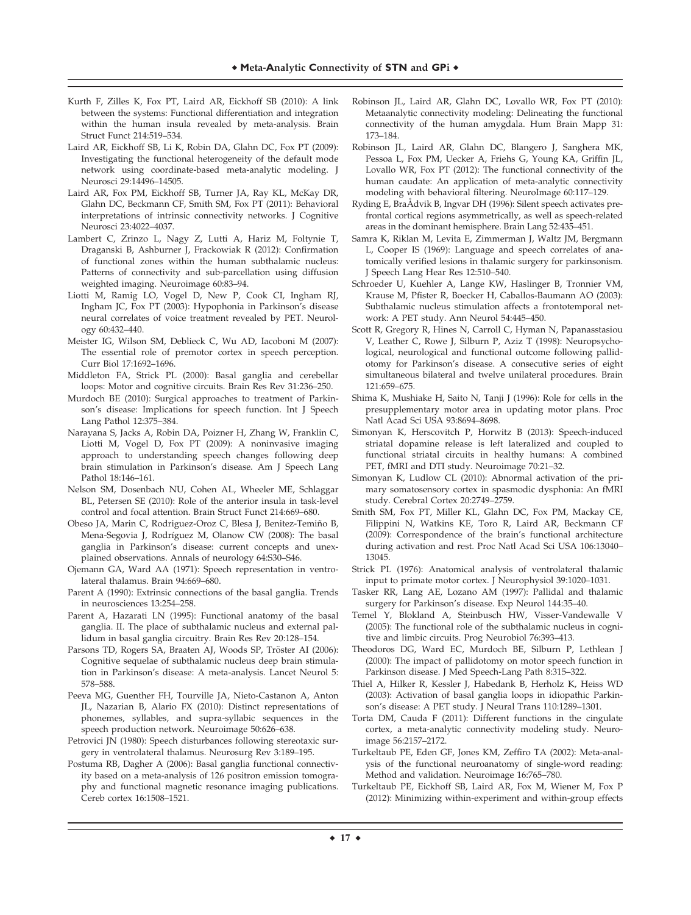- Kurth F, Zilles K, Fox PT, Laird AR, Eickhoff SB (2010): A link between the systems: Functional differentiation and integration within the human insula revealed by meta-analysis. Brain Struct Funct 214:519–534.
- Laird AR, Eickhoff SB, Li K, Robin DA, Glahn DC, Fox PT (2009): Investigating the functional heterogeneity of the default mode network using coordinate-based meta-analytic modeling. J Neurosci 29:14496–14505.
- Laird AR, Fox PM, Eickhoff SB, Turner JA, Ray KL, McKay DR, Glahn DC, Beckmann CF, Smith SM, Fox PT (2011): Behavioral interpretations of intrinsic connectivity networks. J Cognitive Neurosci 23:4022–4037.
- Lambert C, Zrinzo L, Nagy Z, Lutti A, Hariz M, Foltynie T, Draganski B, Ashburner J, Frackowiak R (2012): Confirmation of functional zones within the human subthalamic nucleus: Patterns of connectivity and sub-parcellation using diffusion weighted imaging. Neuroimage 60:83–94.
- Liotti M, Ramig LO, Vogel D, New P, Cook CI, Ingham RJ, Ingham JC, Fox PT (2003): Hypophonia in Parkinson's disease neural correlates of voice treatment revealed by PET. Neurology 60:432–440.
- Meister IG, Wilson SM, Deblieck C, Wu AD, Iacoboni M (2007): The essential role of premotor cortex in speech perception. Curr Biol 17:1692–1696.
- Middleton FA, Strick PL (2000): Basal ganglia and cerebellar loops: Motor and cognitive circuits. Brain Res Rev 31:236–250.
- Murdoch BE (2010): Surgical approaches to treatment of Parkinson's disease: Implications for speech function. Int J Speech Lang Pathol 12:375–384.
- Narayana S, Jacks A, Robin DA, Poizner H, Zhang W, Franklin C, Liotti M, Vogel D, Fox PT (2009): A noninvasive imaging approach to understanding speech changes following deep brain stimulation in Parkinson's disease. Am J Speech Lang Pathol 18:146–161.
- Nelson SM, Dosenbach NU, Cohen AL, Wheeler ME, Schlaggar BL, Petersen SE (2010): Role of the anterior insula in task-level control and focal attention. Brain Struct Funct 214:669–680.
- Obeso JA, Marin C, Rodriguez-Oroz C, Blesa J, Benitez-Temino B, ~ Mena-Segovia J, Rodríguez M, Olanow CW (2008): The basal ganglia in Parkinson's disease: current concepts and unexplained observations. Annals of neurology 64:S30–S46.
- Ojemann GA, Ward AA (1971): Speech representation in ventrolateral thalamus. Brain 94:669–680.
- Parent A (1990): Extrinsic connections of the basal ganglia. Trends in neurosciences 13:254–258.
- Parent A, Hazarati LN (1995): Functional anatomy of the basal ganglia. II. The place of subthalamic nucleus and external pallidum in basal ganglia circuitry. Brain Res Rev 20:128–154.
- Parsons TD, Rogers SA, Braaten AJ, Woods SP, Tröster AI (2006): Cognitive sequelae of subthalamic nucleus deep brain stimulation in Parkinson's disease: A meta-analysis. Lancet Neurol 5: 578–588.
- Peeva MG, Guenther FH, Tourville JA, Nieto-Castanon A, Anton JL, Nazarian B, Alario FX (2010): Distinct representations of phonemes, syllables, and supra-syllabic sequences in the speech production network. Neuroimage 50:626–638.
- Petrovici JN (1980): Speech disturbances following stereotaxic surgery in ventrolateral thalamus. Neurosurg Rev 3:189–195.
- Postuma RB, Dagher A (2006): Basal ganglia functional connectivity based on a meta-analysis of 126 positron emission tomography and functional magnetic resonance imaging publications. Cereb cortex 16:1508–1521.
- Robinson JL, Laird AR, Glahn DC, Lovallo WR, Fox PT (2010): Metaanalytic connectivity modeling: Delineating the functional connectivity of the human amygdala. Hum Brain Mapp 31: 173–184.
- Robinson JL, Laird AR, Glahn DC, Blangero J, Sanghera MK, Pessoa L, Fox PM, Uecker A, Friehs G, Young KA, Griffin JL, Lovallo WR, Fox PT (2012): The functional connectivity of the human caudate: An application of meta-analytic connectivity modeling with behavioral filtering. NeuroImage 60:117–129.
- Ryding E, BraÅdvik B, Ingvar DH (1996): Silent speech activates prefrontal cortical regions asymmetrically, as well as speech-related areas in the dominant hemisphere. Brain Lang 52:435–451.
- Samra K, Riklan M, Levita E, Zimmerman J, Waltz JM, Bergmann L, Cooper IS (1969): Language and speech correlates of anatomically verified lesions in thalamic surgery for parkinsonism. J Speech Lang Hear Res 12:510–540.
- Schroeder U, Kuehler A, Lange KW, Haslinger B, Tronnier VM, Krause M, Pfister R, Boecker H, Caballos-Baumann AO (2003): Subthalamic nucleus stimulation affects a frontotemporal network: A PET study. Ann Neurol 54:445–450.
- Scott R, Gregory R, Hines N, Carroll C, Hyman N, Papanasstasiou V, Leather C, Rowe J, Silburn P, Aziz T (1998): Neuropsychological, neurological and functional outcome following pallidotomy for Parkinson's disease. A consecutive series of eight simultaneous bilateral and twelve unilateral procedures. Brain 121:659–675.
- Shima K, Mushiake H, Saito N, Tanji J (1996): Role for cells in the presupplementary motor area in updating motor plans. Proc Natl Acad Sci USA 93:8694–8698.
- Simonyan K, Herscovitch P, Horwitz B (2013): Speech-induced striatal dopamine release is left lateralized and coupled to functional striatal circuits in healthy humans: A combined PET, fMRI and DTI study. Neuroimage 70:21–32.
- Simonyan K, Ludlow CL (2010): Abnormal activation of the primary somatosensory cortex in spasmodic dysphonia: An fMRI study. Cerebral Cortex 20:2749–2759.
- Smith SM, Fox PT, Miller KL, Glahn DC, Fox PM, Mackay CE, Filippini N, Watkins KE, Toro R, Laird AR, Beckmann CF (2009): Correspondence of the brain's functional architecture during activation and rest. Proc Natl Acad Sci USA 106:13040– 13045.
- Strick PL (1976): Anatomical analysis of ventrolateral thalamic input to primate motor cortex. J Neurophysiol 39:1020–1031.
- Tasker RR, Lang AE, Lozano AM (1997): Pallidal and thalamic surgery for Parkinson's disease. Exp Neurol 144:35–40.
- Temel Y, Blokland A, Steinbusch HW, Visser-Vandewalle V (2005): The functional role of the subthalamic nucleus in cognitive and limbic circuits. Prog Neurobiol 76:393–413.
- Theodoros DG, Ward EC, Murdoch BE, Silburn P, Lethlean J (2000): The impact of pallidotomy on motor speech function in Parkinson disease. J Med Speech-Lang Path 8:315–322.
- Thiel A, Hilker R, Kessler J, Habedank B, Herholz K, Heiss WD (2003): Activation of basal ganglia loops in idiopathic Parkinson's disease: A PET study. J Neural Trans 110:1289–1301.
- Torta DM, Cauda F (2011): Different functions in the cingulate cortex, a meta-analytic connectivity modeling study. Neuroimage 56:2157–2172.
- Turkeltaub PE, Eden GF, Jones KM, Zeffiro TA (2002): Meta-analysis of the functional neuroanatomy of single-word reading: Method and validation. Neuroimage 16:765–780.
- Turkeltaub PE, Eickhoff SB, Laird AR, Fox M, Wiener M, Fox P (2012): Minimizing within-experiment and within-group effects